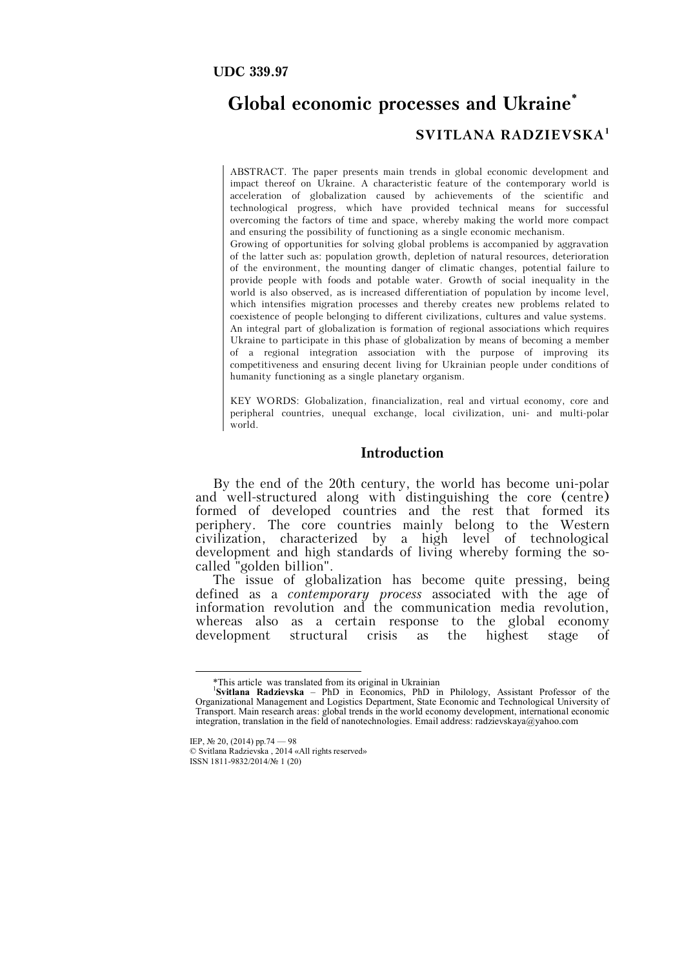#### **UDC 339.97**

# **Global economic processes and Ukraine\* SVITLANA RADZIEVSKA<sup>1</sup>**

ABSTRACT. The paper presents main trends in global economic development and impact thereof on Ukraine. A characteristic feature of the contemporary world is acceleration of globalization caused by achievements of the scientific and technological progress, which have provided technical means for successful overcoming the factors of time and space, whereby making the world more compact and ensuring the possibility of functioning as a single economic mechanism. Growing of opportunities for solving global problems is accompanied by aggravation of the latter such as: population growth, depletion of natural resources, deterioration of the environment, the mounting danger of climatic changes, potential failure to provide people with foods and potable water. Growth of social inequality in the world is also observed, as is increased differentiation of population by income level, which intensifies migration processes and thereby creates new problems related to coexistence of people belonging to different civilizations, cultures and value systems. An integral part of globalization is formation of regional associations which requires Ukraine to participate in this phase of globalization by means of becoming a member of a regional integration association with the purpose of improving its competitiveness and ensuring decent living for Ukrainian people under conditions of humanity functioning as a single planetary organism.

KEY WORDS: Globalization, financialization, real and virtual economy, core and peripheral countries, unequal exchange, local civilization, uni- and multi-polar world.

## **Introduction**

By the end of the 20th century, the world has become uni-polar and well-structured along with distinguishing the core (centre) formed of developed countries and the rest that formed its periphery. The core countries mainly belong to the Western civilization, characterized by a high level of technological development and high standards of living whereby forming the socalled "golden billion".

The issue of globalization has become quite pressing, being defined as a *contemporary process* associated with the age of information revolution and the communication media revolution, whereas also as a certain response to the global economy development structural crisis as the highest stage of

<sup>\*</sup>This article was translated from its original in Ukrainian

<sup>1</sup> **Svitlana Radzievska** – PhD in Economics, PhD in Philology, Assistant Professor of the Organizational Management and Logistics Department, State Economic and Technological University of Transport. Main research areas: global trends in the world economy development, international economic integration, translation in the field of nanotechnologies. Email address: radzievskaya@yahoo.com

IEP, № 20, (2014) pp.74 — 98

<sup>©</sup> Svitlana Radzievska , 2014 «All rights reserved» ISSN 1811-9832/2014/№ 1 (20)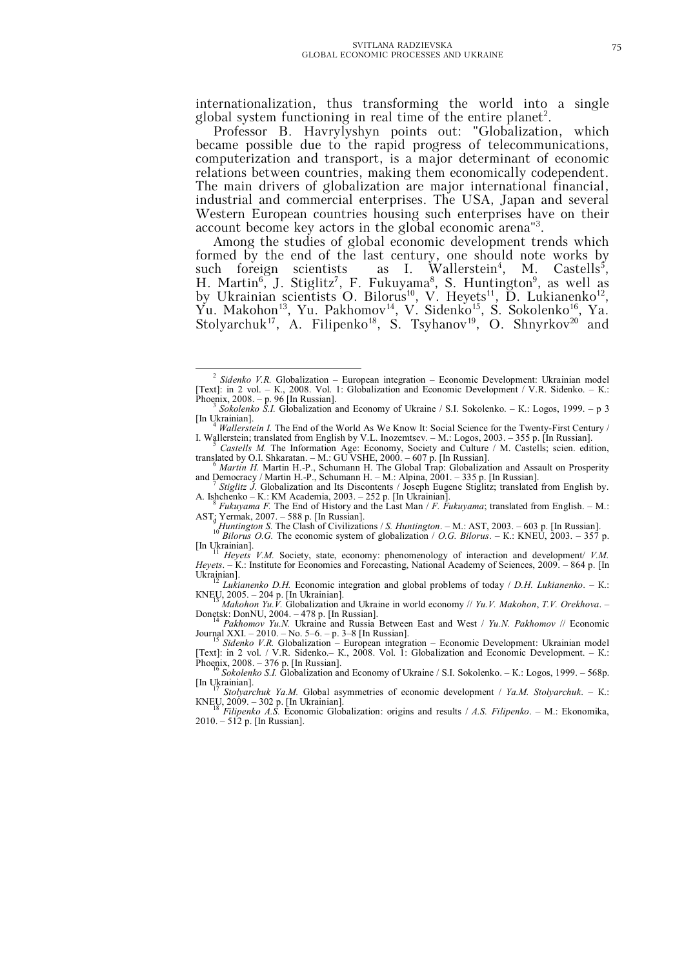internationalization, thus transforming the world into a single global system functioning in real time of the entire planet<sup>2</sup>.

Professor B. Havrylyshyn points out: "Globalization, which became possible due to the rapid progress of telecommunications, computerization and transport, is a major determinant of economic relations between countries, making them economically codependent. The main drivers of globalization are major international financial, industrial and commercial enterprises. The USA, Japan and several Western European countries housing such enterprises have on their account become key actors in the global economic arena"<sup>3</sup> .

Among the studies of global economic development trends which formed by the end of the last century, one should note works by such foreign scientists as I. Wallerstein<sup>4</sup> , M. Castells<sup>5</sup>, H. Martin<sup>6</sup>, J. Stiglitz<sup>7</sup>, F. Fukuyama<sup>8</sup>, S. Huntington<sup>9</sup>, as well as by Ukrainian scientists O. Bilorus<sup>10</sup>, V. Heyets<sup>11</sup>, D. Lukianenko<sup>12</sup>, Yu. Makohon<sup>13</sup>, Yu. Pakhomov<sup>14</sup>, V. Sidenko<sup>15</sup>, S. Sokolenko<sup>16</sup>, Ya. Stolyarchuk<sup>17</sup>, A. Filipenko<sup>18</sup>, S. Tsyhanov<sup>19</sup>, O. Shnyrkov<sup>20</sup> and

*Stiglitz J.* Globalization and Its Discontents / Joseph Eugene Stiglitz; translated from English by. А. Ishchenko – К.: КМ Academia, 2003. – 252 p. [In Ukrainian]. 8 *Fukuyama F.* The End of History and the Last Man / *F. Fukuyama*; translated from English. – М.:

[In Ukrainian].

Journal XXI. – 2010. – No. 5–6. – p. 3–8 [In Russian]. <sup>15</sup> *Sidenko V.R.* Globalization – European integration – Economic Development: Ukrainian model

 $\overline{a}$ <sup>2</sup> Sidenko V.R. Globalization – European integration – Economic Development: Ukrainian model [Text]: in 2 vol. – К., 2008. Vol. 1: Globalization and Economic Development / V.R. Sidenko. – К.: Phoenix, 2008. – p. 96 [In Russian].

*Sokolenko S.I.* Globalization and Economy of Ukraine / S.I. Sokolenko. – К.: Logos, 1999. – p 3 [In Ukrainian].

*Wallerstein I.* The End of the World As We Know It: Social Science for the Twenty-First Century / I. Wallerstein; translated from English by V.L. Inozemtsev. – М.: Logos, 2003. – 355 p. [In Russian]. <sup>5</sup> *Castells М.* The Information Age: Economy, Society and Culture / М. Castells; scien. edition,

translated by O.I. Shkaratan. – М.: GU VSHE, 2000. – 607 p. [In Russian]. <sup>6</sup> *Martin H.* Martin H.-P., Schumann H. The Global Trap: Globalization and Assault on Prosperity

and Democracy / Martin H.-P., Schumann H. – M.: Alpina, 2001. – 335 p. [In Russian].

AST; Yermak, 2007. – 588 p. [In Russian]. <sup>9</sup> *Huntington S.* The Clash of Civilizations / *S. Huntington*. – М.: AST, 2003. – 603 p. [In Russian].

<sup>10</sup> *Bilorus O.G.* The economic system of globalization / *O.G. Bilorus*. – К.: KNEU, 2003. – 357 p.

<sup>11</sup> *Heyets V.M.* Society, state, economy: phenomenology of interaction and development/ *V.M. Heyets*. – К.: Institute for Economics and Forecasting, National Academy of Sciences, 2009. – 864 p. [In Ukrainian].

<sup>12</sup> *Lukianenko D.H.* Economic integration and global problems of today / *D.H. Lukianenko*. – К.: КNEU, 2005. – 204 p. [In Ukrainian]. <sup>13</sup> *Makohon Yu.V.* Globalization and Ukraine in world economy // *Yu.V. Makohon*, *T.V. Orekhova*. –

Donetsk: DonNU, 2004. – 478 p. [In Russian]. <sup>14</sup> *Pakhomov Yu.N.* Ukraine and Russia Between East and West / *Yu.N. Pakhomov* // Economic

<sup>[</sup>Text]: in 2 vol. / V.R. Sidenko.– К., 2008. Vol. 1: Globalization and Economic Development. – К.: Phoenix, 2008. – 376 p. [In Russian].<br><sup>16</sup> *Sokolenko S.I.* Globalization and Economy of Ukraine / S.I. Sokolenko. – K.: Logos, 1999. – 568p.

<sup>[</sup>In Ukrainian].

<sup>17</sup> *Stolyarchuk Ya.M.* Global asymmetries of economic development / *Ya.M. Stolyarchuk*. – К.: КNEU, 2009. – 302 p. [In Ukrainian]. <sup>18</sup> *Filipenko A.S.* Economic Globalization: origins and results / *A.S. Filipenko*. – М.: Ekonomika,

<sup>2010. –</sup> 512 p. [In Russian].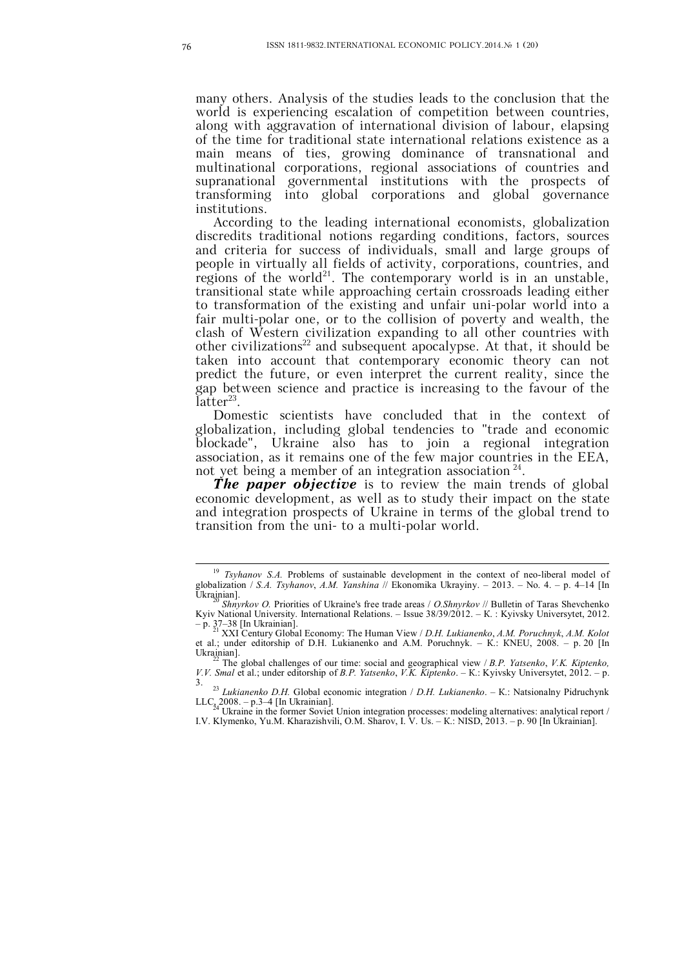many others. Analysis of the studies leads to the conclusion that the world is experiencing escalation of competition between countries, along with aggravation of international division of labour, elapsing of the time for traditional state international relations existence as a main means of ties, growing dominance of transnational and multinational corporations, regional associations of countries and supranational governmental institutions with the prospects of transforming into global corporations and global governance institutions.

According to the leading international economists, globalization discredits traditional notions regarding conditions, factors, sources and criteria for success of individuals, small and large groups of people in virtually all fields of activity, corporations, countries, and regions of the world<sup>21</sup>. The contemporary world is in an unstable, transitional state while approaching certain crossroads leading either to transformation of the existing and unfair uni-polar world into a fair multi-polar one, or to the collision of poverty and wealth, the clash of Western civilization expanding to all other countries with other civilizations<sup>22</sup> and subsequent apocalypse. At that, it should be taken into account that contemporary economic theory can not predict the future, or even interpret the current reality, since the gap between science and practice is increasing to the favour of the  $\tilde{\mathrm{later}}^{23}$ .

Domestic scientists have concluded that in the context of globalization, including global tendencies to "trade and economic blockade", Ukraine also has to join a regional integration association, as it remains one of the few major countries in the EEA, not yet being a member of an integration association<sup>24</sup>.

*The paper objective* is to review the main trends of global economic development, as well as to study their impact on the state and integration prospects of Ukraine in terms of the global trend to transition from the uni- to a multi-polar world.

<sup>&</sup>lt;sup>19</sup> *Tsyhanov S.A.* Problems of sustainable development in the context of neo-liberal model of globalization / *S.A. Tsyhanov*, *A.M. Yanshina* // Ekonomika Ukrayiny. – 2013. – No. 4. – p. 4–14 [In  $\tilde{U}$ krainian].

<sup>20</sup> *Shnyrkov O.* Priorities of Ukraine's free trade areas / *O.Shnyrkov* // Bulletin of Taras Shevchenko Kyiv National University. International Relations. – Issue 38/39/2012. – К. : Kyivsky Universytet, 2012.

<sup>–</sup> p. 37–38 [In Ukrainian]. <sup>21</sup> XXI Century Global Economy: The Human View / *D.H. Lukianenko*, *A.M. Poruchnyk*, *A.M. Kolot* et al.; under editorship of D.H. Lukianenko and A.M. Poruchnyk. – К.: КNEU, 2008. – p. 20 [In Ukrainian].

<sup>22</sup> The global challenges of our time: social and geographical view / *B.P. Yatsenko*, *V.K. Kiptenko, V.V. Smal* et al.; under editorship of *B.P. Yatsenko*, *V.K. Kiptenko*. – К.: Kyivsky Universytet, 2012. – p. 3.

<sup>23</sup> *Lukianenko D.H.* Global economic integration / *D.H. Lukianenko*. – К.: Natsionalny Pidruchynk  $LLC_{24}$  2008. – p.3–4 [In Ukrainian].<br><sup>24</sup> Ukraine in the former Soviet Union integration processes: modeling alternatives: analytical report /

I.V. Klymenko, Yu.M. Kharazishvili, O.M. Sharov, I. V. Us. – К.: NISD, 2013. – p. 90 [In Ukrainian].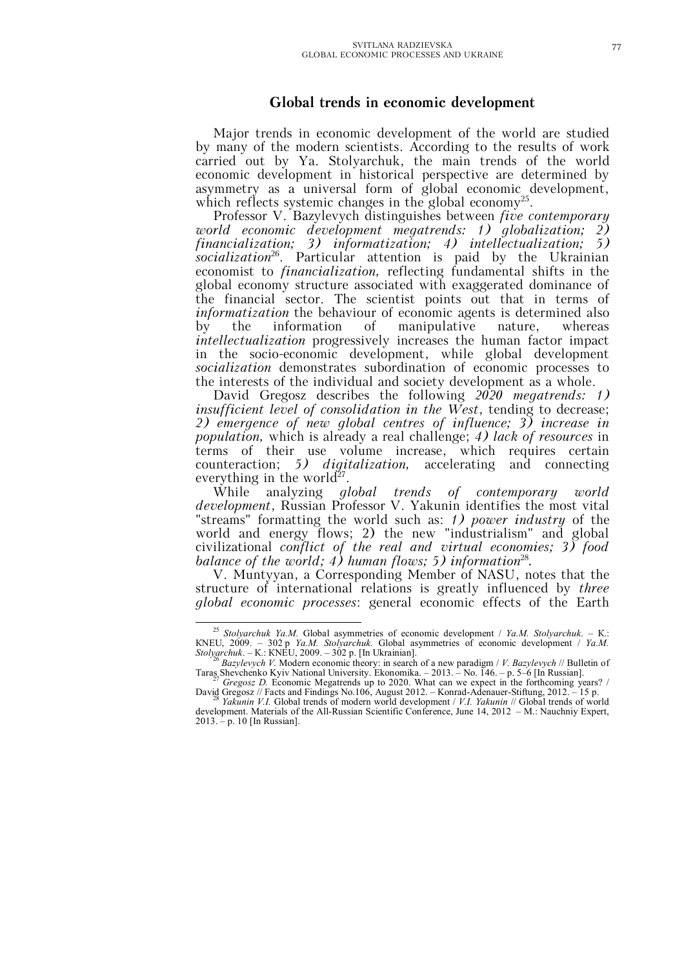## **Global trends in economic development**

Major trends in economic development of the world are studied by many of the modern scientists. According to the results of work carried out by Ya. Stolyarchuk, the main trends of the world economic development in historical perspective are determined by asymmetry as a universal form of global economic development, which reflects systemic changes in the global economy<sup>25</sup>.

Professor V. Bazylevych distinguishes between *five contemporary world economic development megatrends: 1) globalization; 2) financialization; 3) informatization; 4) intellectualization; 5) socialization*<sup>26</sup> . Particular attention is paid by the Ukrainian economist to *financialization,* reflecting fundamental shifts in the global economy structure associated with exaggerated dominance of the financial sector. The scientist points out that in terms of *informatization* the behaviour of economic agents is determined also<br>by the information of manipulative nature, whereas by the information of manipulative nature, whereas *intellectualization* progressively increases the human factor impact in the socio-economic development, while global development *socialization* demonstrates subordination of economic processes to the interests of the individual and society development as a whole.

David Gregosz describes the following *2020 megatrends: 1) insufficient level of consolidation in the West*, tending to decrease; *2) emergence of new global centres of influence; 3) increase in population,* which is already a real challenge; *4) lack of resources* in terms of their use volume increase, which requires certain counteraction; *5) digitalization,* accelerating and connecting everything in the world $2^7$ .

While analyzing *global trends of contemporary world development*, Russian Professor V. Yakunin identifies the most vital "streams" formatting the world such as: *1) power industry* of the world and energy flows; 2) the new "industrialism" and global civilizational *conflict of the real and virtual economies; 3) food balance of the world; 4) human flows; 5) information*<sup>28</sup> *.*

V. Muntyyan, a Corresponding Member of NASU, notes that the structure of international relations is greatly influenced by *three global economic processes*: general economic effects of the Earth

<sup>25</sup> *Stolyarchuk Ya.M.* Global asymmetries of economic development / *Ya.M. Stolyarchuk*. – К.: КNEU, 2009. – 302 p *Ya.M. Stolyarchuk.* Global asymmetries of economic development / *Ya.M. Stolyarchuk*. – К.: КNEU, 2009. – 302 p. [In Ukrainian].

<sup>26</sup> *Bazylevych V.* Modern economic theory: in search of a new paradigm / *V. Bazylevych* // Bulletin of Taras Shevchenko Kyiv National University. Ekonomika. – 2013. – No. 146. – p. 5–6 [In Russian].

Gregosz D. Economic Megatrends up to 2020. What can we expect in the forthcoming years? / David Gregosz // Facts and Findings No.106, August 2012. – Konrad-Adenauer-Stiftung, 2012. – 15 p. <sup>28</sup> *Yakunin V.I.* Global trends of modern world development / *V.I. Yakunin* // Global trends of world

development. Materials of the All-Russian Scientific Conference, June 14, 2012 – М.: Nauchniy Expert, 2013. – p. 10 [In Russian].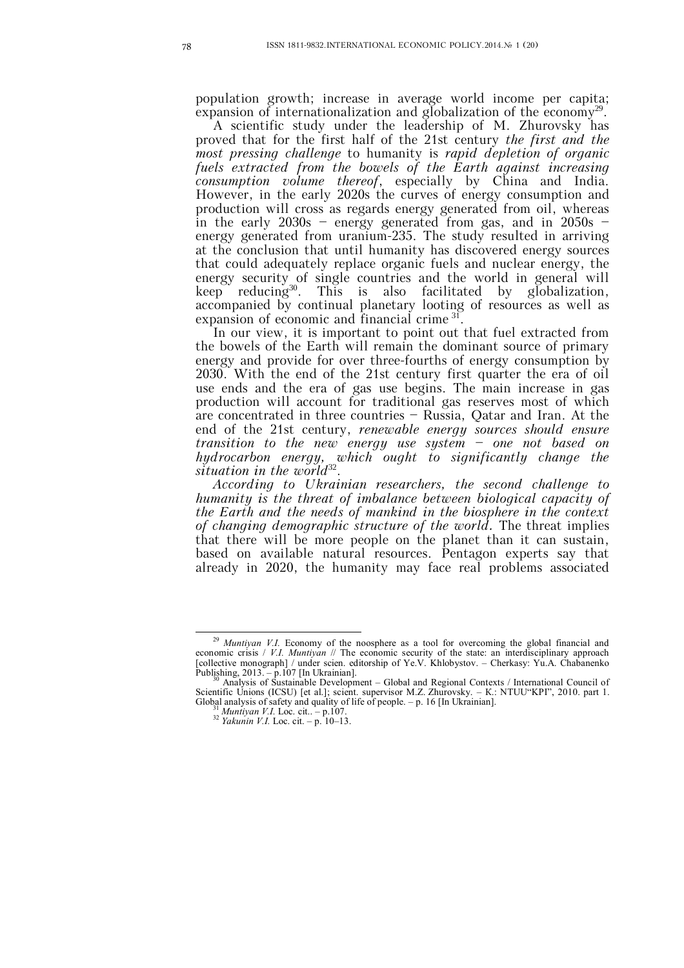population growth; increase in average world income per capita; expansion of internationalization and globalization of the economy<sup>29</sup>.

A scientific study under the leadership of M. Zhurovsky has proved that for the first half of the 21st century *the first and the most pressing challenge* to humanity is *rapid depletion of organic fuels extracted from the bowels of the Earth against increasing consumption volume thereof*, especially by China and India. However, in the early 2020s the curves of energy consumption and production will cross as regards energy generated from oil, whereas in the early 2030s – energy generated from gas, and in 2050s – energy generated from uranium-235. The study resulted in arriving at the conclusion that until humanity has discovered energy sources that could adequately replace organic fuels and nuclear energy, the energy security of single countries and the world in general will keep reducing  $30$ . . This is also facilitated by globalization, accompanied by continual planetary looting of resources as well as expansion of economic and financial crime<sup>31</sup> .

In our view, it is important to point out that fuel extracted from the bowels of the Earth will remain the dominant source of primary energy and provide for over three-fourths of energy consumption by 2030. With the end of the 21st century first quarter the era of oil use ends and the era of gas use begins. The main increase in gas production will account for traditional gas reserves most of which are concentrated in three countries – Russia, Qatar and Iran. At the end of the 21st century, *renewable energy sources should ensure transition to the new energy use system – one not based on hydrocarbon energy, which ought to significantly change the*  situation in the world<sup>32</sup>.

*According to Ukrainian researchers, the second challenge to humanity is the threat of imbalance between biological capacity of the Earth and the needs of mankind in the biosphere in the context of changing demographic structure of the world.* The threat implies that there will be more people on the planet than it can sustain, based on available natural resources. Pentagon experts say that already in 2020, the humanity may face real problems associated

<sup>&</sup>lt;sup>29</sup> *Muntiyan V.I.* Economy of the noosphere as a tool for overcoming the global financial and economic crisis / *V.I. Muntiyan* // The economic security of the state: an interdisciplinary approach [collective monograph] / under scien. editorship of Ye.V. Khlobystov. – Cherkasy: Yu.A. Chabanenko Publishing, 2013. – p.107 [In Ukrainian].

<sup>30</sup> Analysis of Sustainable Development – Global and Regional Contexts / International Council of Scientific Unions (ICSU) [et al.]; scient. supervisor M.Z. Zhurovsky. – К.: NTUU"KPI", 2010. part 1. Global analysis of safety and quality of life of people. – p. 16 [In Ukrainian].

<sup>31</sup> *Muntiyan V.I.* Loc. cit.. – p.107.

<sup>32</sup> *Yakunin V.I.* Loc. cit. – p. 10–13.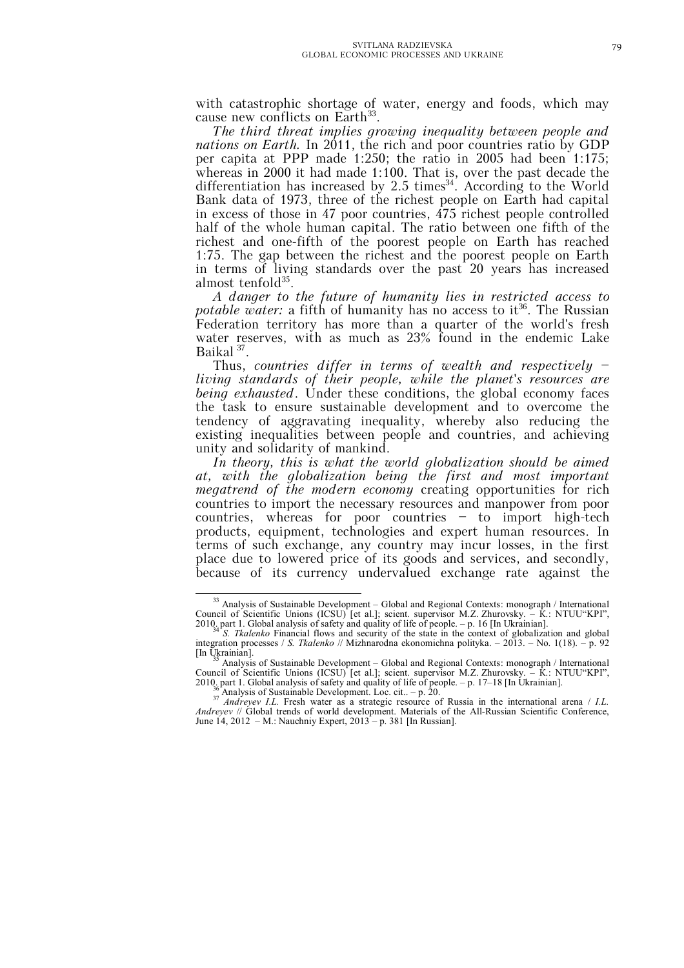with catastrophic shortage of water, energy and foods, which may cause new conflicts on Earth<sup>33</sup>.

*The third threat implies growing inequality between people and nations on Earth.* In 2011, the rich and poor countries ratio by GDP per capita at PPP made 1:250; the ratio in 2005 had been 1:175; whereas in 2000 it had made 1:100. That is, over the past decade the differentiation has increased by 2.5 times<sup>34</sup>. According to the World Bank data of 1973, three of the richest people on Earth had capital in excess of those in 47 poor countries, 475 richest people controlled half of the whole human capital. The ratio between one fifth of the richest and one-fifth of the poorest people on Earth has reached 1:75. The gap between the richest and the poorest people on Earth in terms of living standards over the past 20 years has increased almost tenfold<sup>35</sup>.

*A danger to the future of humanity lies in restricted access to*  potable water: a fifth of humanity has no access to it<sup>36</sup>. The Russian Federation territory has more than a quarter of the world's fresh water reserves, with as much as 23% found in the endemic Lake Baikal<sup>37</sup>.

Thus, *countries differ in terms of wealth and respectively – living standards of their people, while the planet's resources are being exhausted*. Under these conditions, the global economy faces the task to ensure sustainable development and to overcome the tendency of aggravating inequality, whereby also reducing the existing inequalities between people and countries, and achieving unity and solidarity of mankind.

*In theory, this is what the world globalization should be aimed at, with the globalization being the first and most important megatrend of the modern economy* creating opportunities for rich countries to import the necessary resources and manpower from poor countries, whereas for poor countries – to import high-tech products, equipment, technologies and expert human resources. In terms of such exchange, any country may incur losses, in the first place due to lowered price of its goods and services, and secondly, because of its currency undervalued exchange rate against the

<sup>&</sup>lt;sup>33</sup> Analysis of Sustainable Development – Global and Regional Contexts: monograph / International Council of Scientific Unions (ICSU) [et al.]; scient. supervisor M.Z. Zhurovsky. – К.: NTUU"KPI", 2010. part 1. Global analysis of safety and quality of life of people. – p. 16 [In Ukrainian].

<sup>&</sup>lt;sup>34</sup><sup>5</sup>S. Tkalenko Financial flows and security of the state in the context of globalization and global integration processes / *S. Tkalenko* // Mizhnarodna ekonomichna polityka. – 2013. – No. 1(18). – p. 92 [In Ukrainian].

<sup>35</sup> Analysis of Sustainable Development – Global and Regional Contexts: monograph / International Council of Scientific Unions (ICSU) [et al.]; scient. supervisor M.Z. Zhurovsky. – К.: NTUU"KPI", 2010. part 1. Global analysis of safety and quality of life of people. – p. 17–18 [In Ukrainian].

 $36<sup>1</sup>$ Analysis of Sustainable Development. Loc. cit.. – p. 20.

<sup>37</sup> *Andreyev I.L.* Fresh water as a strategic resource of Russia in the international arena / *I.L. Andreyev* // Global trends of world development. Materials of the All-Russian Scientific Conference, June 14, 2012 – М.: Nauchniy Expert, 2013 – p. 381 [In Russian].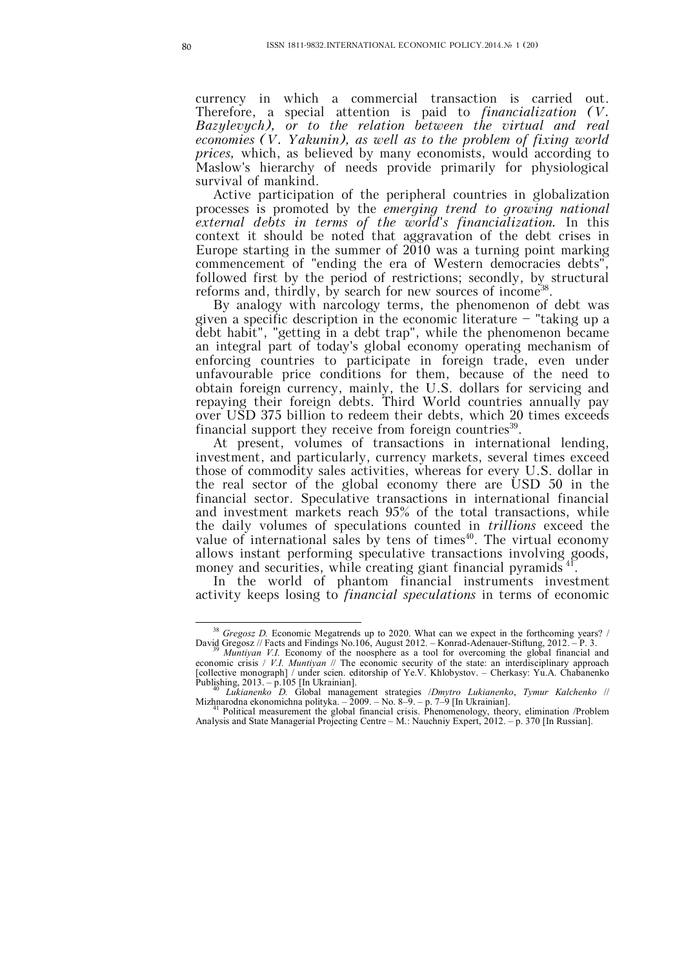currency in which a commercial transaction is carried out. Therefore, a special attention is paid to *financialization (V. Bazylevych), or to the relation between the virtual and real economies (V. Yakunin), as well as to the problem of fixing world prices,* which, as believed by many economists, would according to Maslow's hierarchy of needs provide primarily for physiological survival of mankind.

Active participation of the peripheral countries in globalization processes is promoted by the *emerging trend to growing national external debts in terms of the world's financialization.* In this context it should be noted that aggravation of the debt crises in Europe starting in the summer of  $2010$  was a turning point marking commencement of "ending the era of Western democracies debts" followed first by the period of restrictions; secondly, by structural reforms and, thirdly, by search for new sources of income<sup>38</sup>.

By analogy with narcology terms, the phenomenon of debt was given a specific description in the economic literature – "taking up a debt habit", "getting in a debt trap", while the phenomenon became an integral part of today's global economy operating mechanism of enforcing countries to participate in foreign trade, even under unfavourable price conditions for them, because of the need to obtain foreign currency, mainly, the U.S. dollars for servicing and repaying their foreign debts. Third World countries annually pay over USD 375 billion to redeem their debts, which 20 times exceeds financial support they receive from foreign countries<sup>39</sup>.

At present, volumes of transactions in international lending, investment, and particularly, currency markets, several times exceed those of commodity sales activities, whereas for every U.S. dollar in the real sector of the global economy there are USD 50 in the financial sector. Speculative transactions in international financial and investment markets reach 95% of the total transactions, while the daily volumes of speculations counted in *trillions* exceed the value of international sales by tens of times $40$ . The virtual economy allows instant performing speculative transactions involving goods, money and securities, while creating giant financial pyramids<sup>41</sup> .

In the world of phantom financial instruments investment activity keeps losing to *financial speculations* in terms of economic

<sup>38</sup> *Gregosz D.* Economic Megatrends up to 2020. What can we expect in the forthcoming years? / David Gregosz // Facts and Findings No.106, August 2012. – Konrad-Adenauer-Stiftung, 2012. – P. 3.

<sup>&</sup>lt;sup>39</sup> *Muntiyan V.I.* Economy of the noosphere as a tool for overcoming the global financial and economic crisis / *V.I. Muntiyan* // The economic security of the state: an interdisciplinary approach [collective monograph] / under scien. editorship of Ye.V. Khlobystov. – Cherkasy: Yu.A. Chabanenko Publishing, 2013. - p.105 [In Ukrainian].

<sup>40</sup> *Lukianenko D.* Global management strategies /*Dmytro Lukianenko*, *Tymur Kalchenko* // Mizhnarodna ekonomichna polityka. – 2009. – No. 8–9. – p. 7–9 [In Ukrainian].<br><sup>41</sup> Political measurement the global financial crisis. Phenomenology, theory, elimination /Problem

Analysis and State Managerial Projecting Centre – М.: Nauchniy Expert, 2012. – p. 370 [In Russian].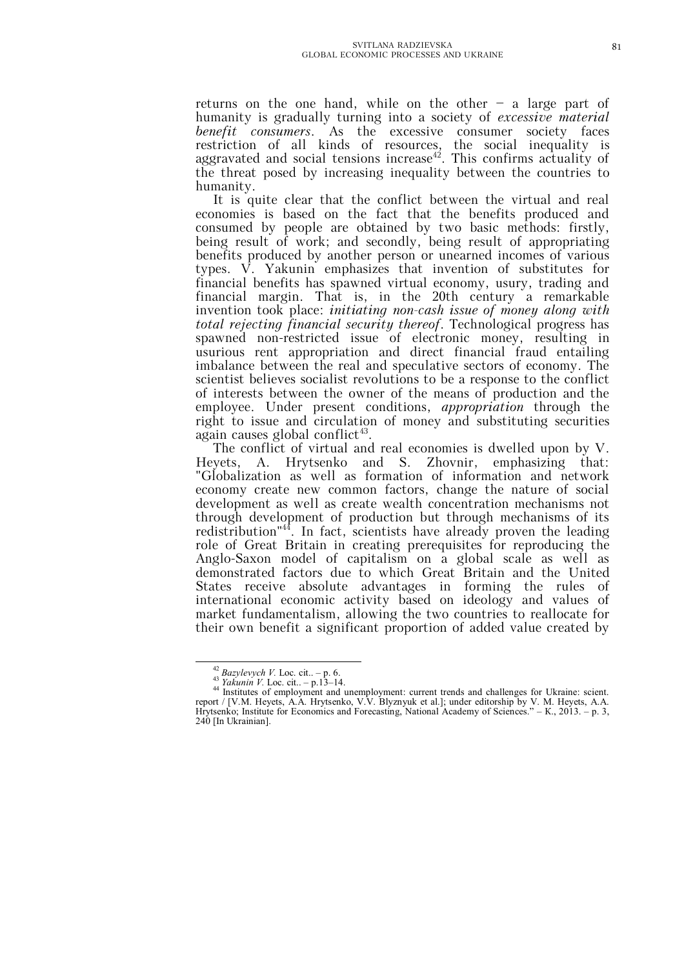returns on the one hand, while on the other  $-$  a large part of humanity is gradually turning into a society of *excessive material benefit consumers*. As the excessive consumer society faces restriction of all kinds of resources, the social inequality is aggravated and social tensions increase<sup>42</sup>. This confirms actuality of the threat posed by increasing inequality between the countries to humanity.

It is quite clear that the conflict between the virtual and real economies is based on the fact that the benefits produced and consumed by people are obtained by two basic methods: firstly, being result of work; and secondly, being result of appropriating benefits produced by another person or unearned incomes of various types. V. Yakunin emphasizes that invention of substitutes for financial benefits has spawned virtual economy, usury, trading and financial margin. That is, in the 20th century a remarkable invention took place: *initiating non-cash issue of money along with total rejecting financial security thereof*. Technological progress has spawned non-restricted issue of electronic money, resulting in usurious rent appropriation and direct financial fraud entailing imbalance between the real and speculative sectors of economy. The scientist believes socialist revolutions to be a response to the conflict of interests between the owner of the means of production and the employee. Under present conditions, *appropriation* through the right to issue and circulation of money and substituting securities again causes global conflict<sup>43</sup>.

The conflict of virtual and real economies is dwelled upon by V. Heyets, A. Hrytsenko and S. Zhovnir, emphasizing that: "Globalization as well as formation of information and network economy create new common factors, change the nature of social development as well as create wealth concentration mechanisms not through development of production but through mechanisms of its redistribution"<sup>44</sup>. In fact, scientists have already proven the leading role of Great Britain in creating prerequisites for reproducing the Anglo-Saxon model of capitalism on a global scale as well as demonstrated factors due to which Great Britain and the United States receive absolute advantages in forming the rules of international economic activity based on ideology and values of market fundamentalism, allowing the two countries to reallocate for their own benefit a significant proportion of added value created by

 $^{42}$ *Bazylevych V.* Loc. cit.. – p. 6.

<sup>43</sup> *Yakunin V.* Loc. cit.. – p.13–14.

<sup>44</sup> Institutes of employment and unemployment: current trends and challenges for Ukraine: scient. report / [V.M. Heyets, A.A. Hrytsenko, V.V. Blyznyuk et al.]; under editorship by V. M. Heyets, A.A. Hrytsenko; Institute for Economics and Forecasting, National Academy of Sciences." – К., 2013. – p. 3, 240 [In Ukrainian].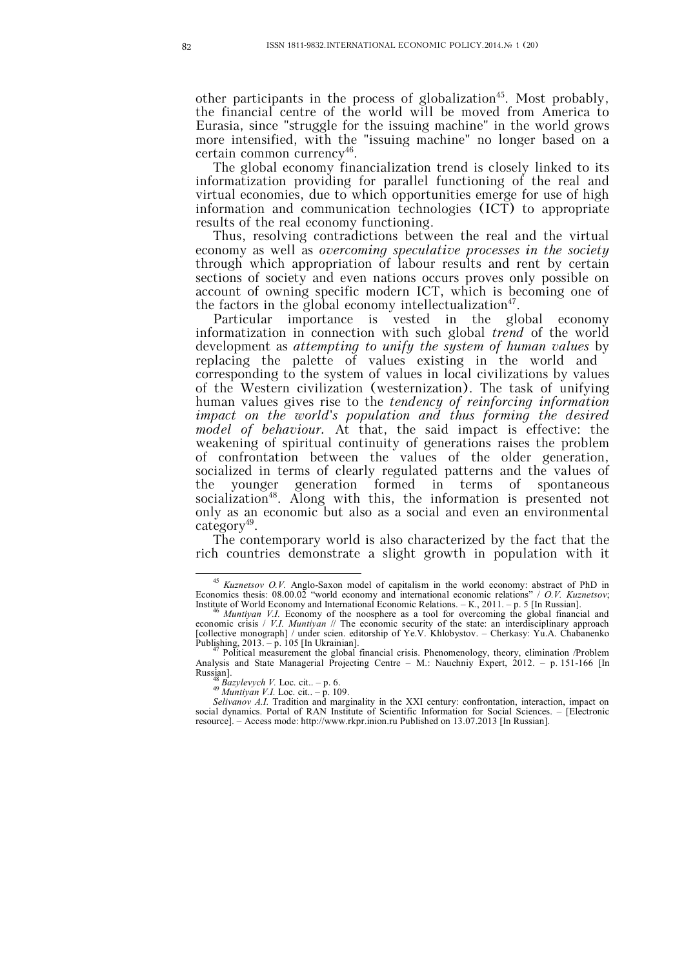other participants in the process of globalization<sup>45</sup>. Most probably, the financial centre of the world will be moved from America to Eurasia, since "struggle for the issuing machine" in the world grows more intensified, with the "issuing machine" no longer based on a certain common currency<sup>46</sup>.

The global economy financialization trend is closely linked to its informatization providing for parallel functioning of the real and virtual economies, due to which opportunities emerge for use of high information and communication technologies (ICT) to appropriate results of the real economy functioning.

Thus, resolving contradictions between the real and the virtual economy as well as *overcoming speculative processes in the society* through which appropriation of labour results and rent by certain sections of society and even nations occurs proves only possible on account of owning specific modern ICT, which is becoming one of the factors in the global economy intellectualization $47$ .

Particular importance is vested in the global economy informatization in connection with such global *trend* of the world development as *attempting to unify the system of human values* by replacing the palette of values existing in the world and corresponding to the system of values in local civilizations by values of the Western civilization (westernization). The task of unifying human values gives rise to the *tendency of reinforcing information impact on the world's population and thus forming the desired model of behaviour.* At that, the said impact is effective: the weakening of spiritual continuity of generations raises the problem of confrontation between the values of the older generation, socialized in terms of clearly regulated patterns and the values of the younger generation formed in terms of spontaneous socialization<sup>48</sup>. Along with this, the information is presented not only as an economic but also as a social and even an environmental category<sup>49</sup>.

The contemporary world is also characterized by the fact that the rich countries demonstrate a slight growth in population with it

<sup>45</sup> *Kuznetsov O.V.* Anglo-Saxon model of capitalism in the world economy: abstract of PhD in Economics thesis: 08.00.02 "world economy and international economic relations" / *O.V. Kuznetsov*; Institute of World Economy and International Economic Relations. – К., 2011. – p. 5 [In Russian].

<sup>46</sup> *Muntiyan V.I.* Economy of the noosphere as a tool for overcoming the global financial and economic crisis / *V.I. Muntiyan* // The economic security of the state: an interdisciplinary approach [collective monograph] / under scien. editorship of Ye.V. Khlobystov. – Cherkasy: Yu.A. Chabanenko Publishing, 2013. – p. 105 [In Ukrainian].

Political measurement the global financial crisis. Phenomenology, theory, elimination /Problem Analysis and State Managerial Projecting Centre – М.: Nauchniy Expert, 2012. – p. 151-166 [In Russian].

<sup>48</sup> *Bazylevych V.* Loc. cit.. – p. 6. <sup>49</sup> *Muntiyan V.I.* Loc. cit.. – p. 109.

*Selivanov A.I.* Tradition and marginality in the XXI century: confrontation, interaction, impact on

social dynamics. Portal of RAN Institute of Scientific Information for Social Sciences. – [Electronic resource]. – Access mode: http://www.rkpr.inion.ru Published on 13.07.2013 [In Russian].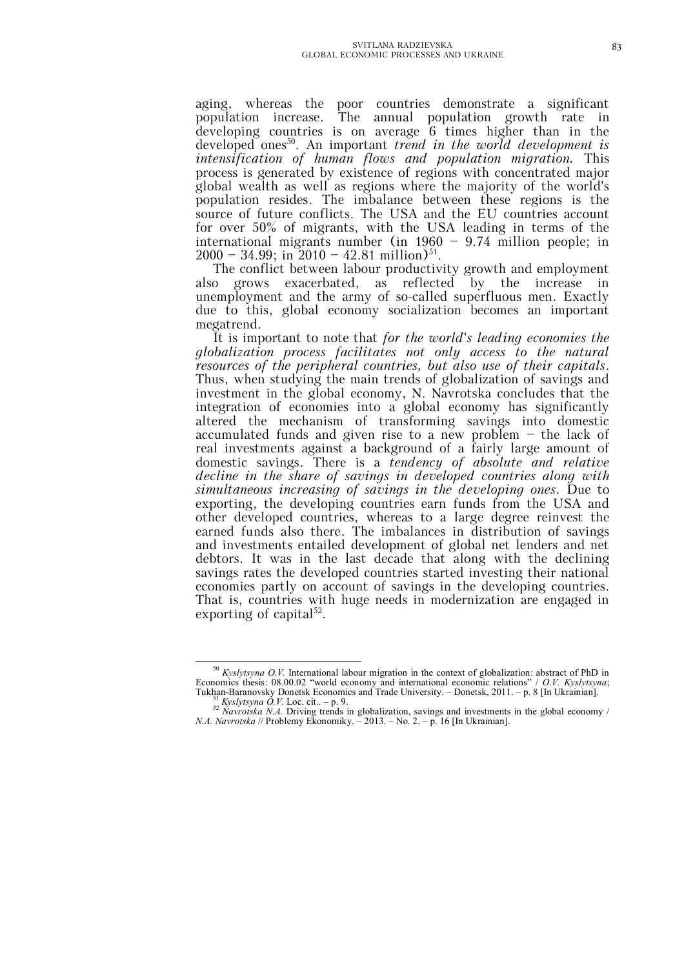aging, whereas the poor countries demonstrate a significant population increase. The annual population growth rate in developing countries is on average 6 times higher than in the developed ones<sup>50</sup>. An important *trend in the world development is intensification of human flows and population migration.* This process is generated by existence of regions with concentrated major global wealth as well as regions where the majority of the world's population resides. The imbalance between these regions is the source of future conflicts. The USA and the EU countries account for over 50% of migrants, with the USA leading in terms of the international migrants number (in 1960 – 9.74 million people; in  $2000 - 34.99$ ; in  $2010 - 42.81$  million)<sup>51</sup>.

The conflict between labour productivity growth and employment also grows exacerbated, as reflected by the increase in unemployment and the army of so-called superfluous men. Exactly due to this, global economy socialization becomes an important megatrend.

It is important to note that *for the world's leading economies the globalization process facilitates not only access to the natural resources of the peripheral countries, but also use of their capitals*. Thus, when studying the main trends of globalization of savings and investment in the global economy, N. Navrotska concludes that the integration of economies into a global economy has significantly altered the mechanism of transforming savings into domestic accumulated funds and given rise to a new problem  $-$  the lack of real investments against a background of a fairly large amount of domestic savings. There is a *tendency of absolute and relative decline in the share of savings in developed countries along with simultaneous increasing of savings in the developing ones*. Due to exporting, the developing countries earn funds from the USA and other developed countries, whereas to a large degree reinvest the earned funds also there. The imbalances in distribution of savings and investments entailed development of global net lenders and net debtors. It was in the last decade that along with the declining savings rates the developed countries started investing their national economies partly on account of savings in the developing countries. That is, countries with huge needs in modernization are engaged in exporting of capital<sup>52</sup>.

<sup>50</sup> *Kyslytsyna O.V.* International labour migration in the context of globalization: abstract of PhD in Economics thesis: 08.00.02 "world economy and international economic relations" / *O.V. Kyslytsyna*; Tukhan-Baranovsky Donetsk Economics and Trade University. – Donetsk, 2011. – p. 8 [In Ukrainian]. <sup>51</sup> *Kyslytsyna O.V.* Loc. cit.. – p. 9.

<sup>52</sup> *Navrotska N.A.* Driving trends in globalization, savings and investments in the global economy / *N.A. Navrotska* // Problemy Ekonomiky. – 2013. – No. 2. – p. 16 [In Ukrainian].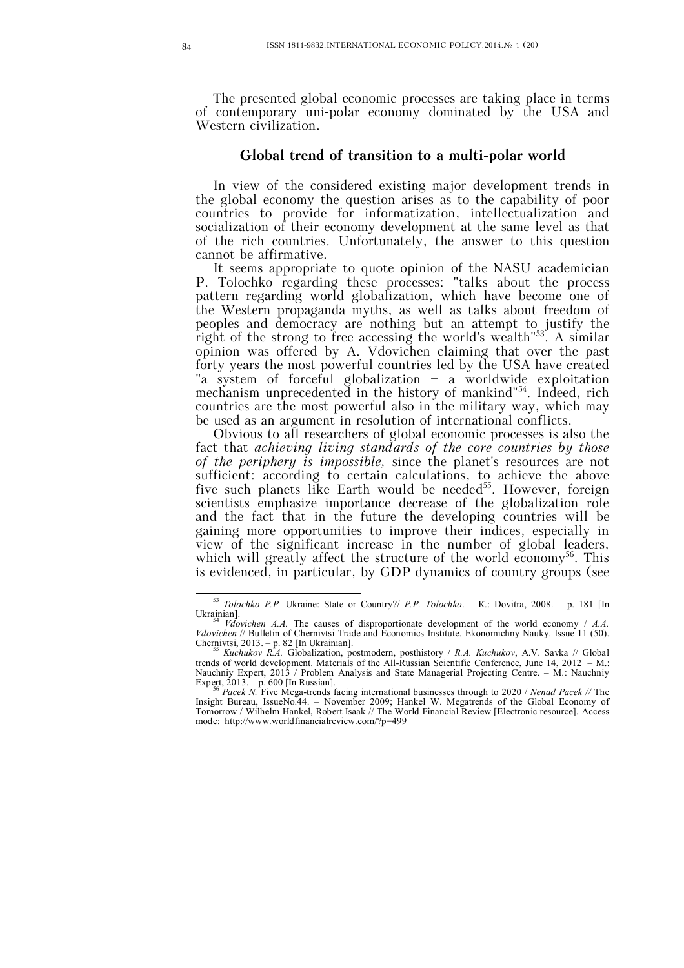The presented global economic processes are taking place in terms of contemporary uni-polar economy dominated by the USA and Western civilization.

## **Global trend of transition to a multi-polar world**

In view of the considered existing major development trends in the global economy the question arises as to the capability of poor countries to provide for informatization, intellectualization and socialization of their economy development at the same level as that of the rich countries. Unfortunately, the answer to this question cannot be affirmative.

It seems appropriate to quote opinion of the NASU academician P. Tolochko regarding these processes: "talks about the process pattern regarding world globalization, which have become one of the Western propaganda myths, as well as talks about freedom of peoples and democracy are nothing but an attempt to justify the right of the strong to free accessing the world's wealth<sup>'53</sup>. A similar opinion was offered by A. Vdovichen claiming that over the past forty years the most powerful countries led by the USA have created "a system of forceful globalization – a worldwide exploitation mechanism unprecedented in the history of mankind"<sup>54</sup> . Indeed, rich countries are the most powerful also in the military way, which may be used as an argument in resolution of international conflicts.

Obvious to all researchers of global economic processes is also the fact that *achieving living standards of the core countries by those of the periphery is impossible,* since the planet's resources are not sufficient: according to certain calculations, to achieve the above five such planets like Earth would be needed<sup>55</sup>. However, foreign scientists emphasize importance decrease of the globalization role and the fact that in the future the developing countries will be gaining more opportunities to improve their indices, especially in view of the significant increase in the number of global leaders, which will greatly affect the structure of the world economy<sup>56</sup>. This is evidenced, in particular, by GDP dynamics of country groups (see

 $\overline{a}$ <sup>53</sup> *Tolochko P.P.* Ukraine: State or Country?/ *P.P. Tolochko*. – К.: Dovitra, 2008. – p. 181 [In Ukrainian]. <sup>54</sup> *Vdovichen A.A.* The causes of disproportionate development of the world economy / *A.A.* 

*Vdovichen* // Bulletin of Chernivtsi Trade and Economics Institute. Ekonomichny Nauky. Issue 11 (50). Chernivtsi, 2013. – p. 82 [In Ukrainian].

<sup>55</sup> *Kuchukov R.A.* Globalization, postmodern, posthistory / *R.A. Kuchukov*, A.V. Savka // Global trends of world development. Materials of the All-Russian Scientific Conference, June 14, 2012 – М.: Nauchniy Expert, 2013 / Problem Analysis and State Managerial Projecting Centre. – М.: Nauchniy Expert, 2013. – p. 600 [In Russian].

<sup>56</sup> *Pacek N.* Five Mega-trends facing international businesses through to 2020 / *Nenad Pacek //* The Insight Bureau, IssueNo.44. – November 2009; Hankel W. Megatrends of the Global Economy of Tomorrow / Wilhelm Hankel, Robert Isaak // The World Financial Review [Electronic resource]. Access mode: http://www.worldfinancialreview.com/?p=499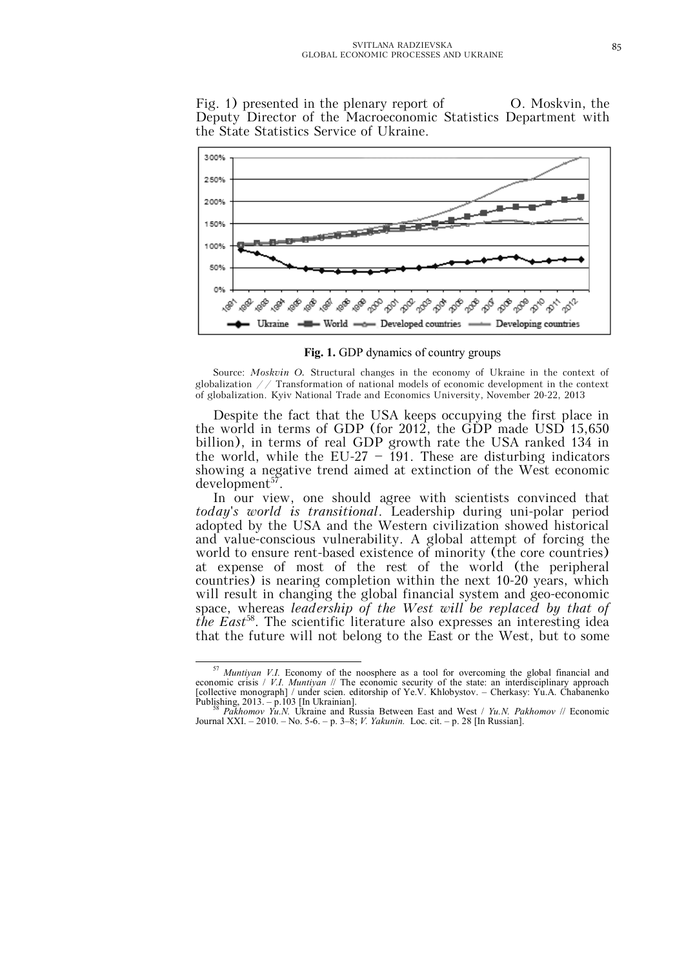Fig. 1) presented in the plenary report of O. Moskvin, the Deputy Director of the Macroeconomic Statistics Department with the State Statistics Service of Ukraine.



**Fig. 1.** GDP dynamics of country groups

Source: *Moskvin O.* Structural changes in the economy of Ukraine in the context of globalization  $//$  Transformation of national models of economic development in the context of globalization. Kyiv National Trade and Economics University, November 20-22, 2013

Despite the fact that the USA keeps occupying the first place in the world in terms of GDP (for 2012, the GDP made USD 15,650 billion), in terms of real GDP growth rate the USA ranked 134 in the world, while the EU-27 – 191. These are disturbing indicators showing a negative trend aimed at extinction of the West economic development<sup>57</sup>.

In our view, one should agree with scientists convinced that *today's world is transitional*. Leadership during uni-polar period adopted by the USA and the Western civilization showed historical and value-conscious vulnerability. A global attempt of forcing the world to ensure rent-based existence of minority (the core countries) at expense of most of the rest of the world (the peripheral countries) is nearing completion within the next 10-20 years, which will result in changing the global financial system and geo-economic space, whereas *leadership of the West will be replaced by that of the East*<sup>58</sup> . The scientific literature also expresses an interesting idea that the future will not belong to the East or the West, but to some

 $\overline{a}$ <sup>57</sup> *Muntiyan V.I.* Economy of the noosphere as a tool for overcoming the global financial and economic crisis / *V.I. Muntiyan* // The economic security of the state: an interdisciplinary approach [collective monograph] / under scien. editorship of Ye.V. Khlobystov. – Cherkasy: Yu.A. Chabanenko Publishing, 2013. – p.103 [In Ukrainian].

<sup>58</sup> *Pakhomov Yu.N.* Ukraine and Russia Between East and West / *Yu.N. Pakhomov* // Economic Journal XXI. – 2010. – No. 5-6. – p. 3–8; *V. Yakunin.* Loc. cit. – p. 28 [In Russian].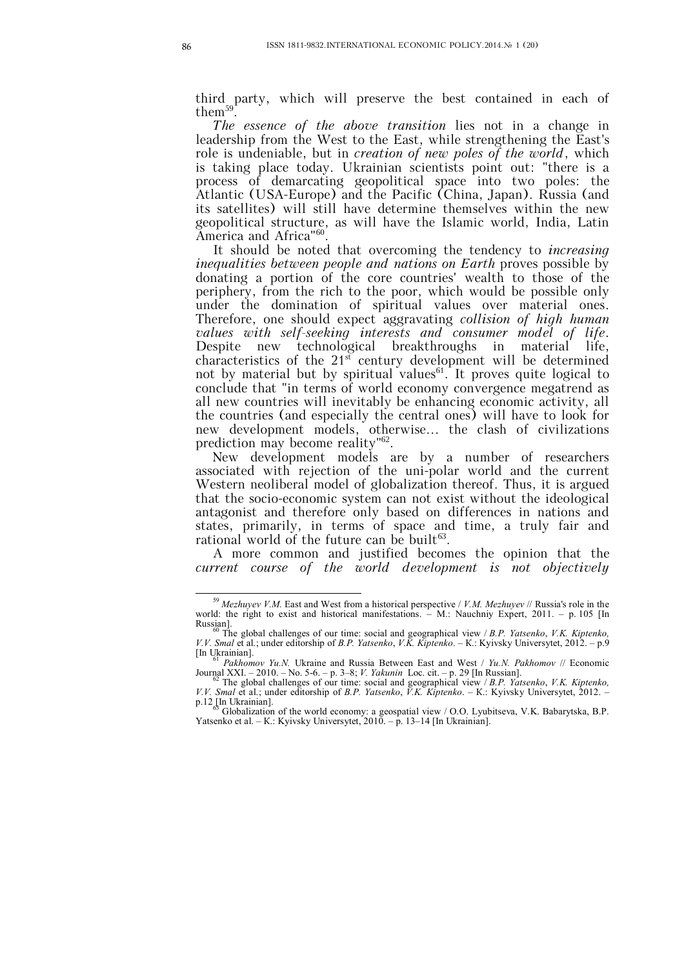third party, which will preserve the best contained in each of  $\text{them}^{59}$ .

*The essence of the above transition* lies not in a change in leadership from the West to the East, while strengthening the East's role is undeniable, but in *creation of new poles of the world*, which is taking place today. Ukrainian scientists point out: "there is a process of demarcating geopolitical space into two poles: the Atlantic (USA-Europe) and the Pacific (China, Japan). Russia (and its satellites) will still have determine themselves within the new geopolitical structure, as will have the Islamic world, India, Latin America and Africa"<sup>60</sup>.

It should be noted that overcoming the tendency to *increasing inequalities between people and nations on Earth* proves possible by donating a portion of the core countries' wealth to those of the periphery, from the rich to the poor, which would be possible only under the domination of spiritual values over material ones. Therefore, one should expect aggravating *collision of high human values with self-seeking interests and consumer model of life*. Despite new technological breakthroughs in material life, characteristics of the  $21<sup>st</sup>$  century development will be determined not by material but by spiritual values<sup>61</sup>. It proves quite logical to conclude that "in terms of world economy convergence megatrend as all new countries will inevitably be enhancing economic activity, all the countries (and especially the central ones) will have to look for new development models, otherwise... the clash of civilizations prediction may become reality"<sup>62</sup>.

New development models are by a number of researchers associated with rejection of the uni-polar world and the current Western neoliberal model of globalization thereof. Thus, it is argued that the socio-economic system can not exist without the ideological antagonist and therefore only based on differences in nations and states, primarily, in terms of space and time, a truly fair and rational world of the future can be built<sup>63</sup>.

A more common and justified becomes the opinion that the *current course of the world development is not objectively* 

<sup>59</sup> *Mezhuyev V.M.* East and West from a historical perspective / *V.M. Mezhuyev* // Russia's role in the world: the right to exist and historical manifestations. – M.: Nauchniy Expert, 2011. – p. 105 [In Russian].

<sup>60</sup> The global challenges of our time: social and geographical view / *B.P. Yatsenko*, *V.K. Kiptenko, V.V. Smal* et al.; under editorship of *B.P. Yatsenko*, *V.K. Kiptenko*. – К.: Kyivsky Universytet, 2012. – p.9 [In Ukrainian].

<sup>61</sup> *Pakhomov Yu.N.* Ukraine and Russia Between East and West / *Yu.N. Pakhomov* // Economic Journal XXI. – 2010. – No. 5-6. – p. 3–8; *V. Yakunin* Loc. cit. – p. 29 [In Russian].

<sup>62</sup> The global challenges of our time: social and geographical view / *B.P. Yatsenko*, *V.K. Kiptenko, V.V. Smal* et al.; under editorship of *B.P. Yatsenko*, *V.K. Kiptenko*. – К.: Kyivsky Universytet, 2012. –

p.12 [In Ukrainian]. <sup>63</sup> Globalization of the world economy: a geospatial view / O.O. Lyubitseva, V.K. Babarytska, B.P. Yatsenko et al. – K.: Kyivsky Universytet, 2010. – p. 13–14 [In Ukrainian].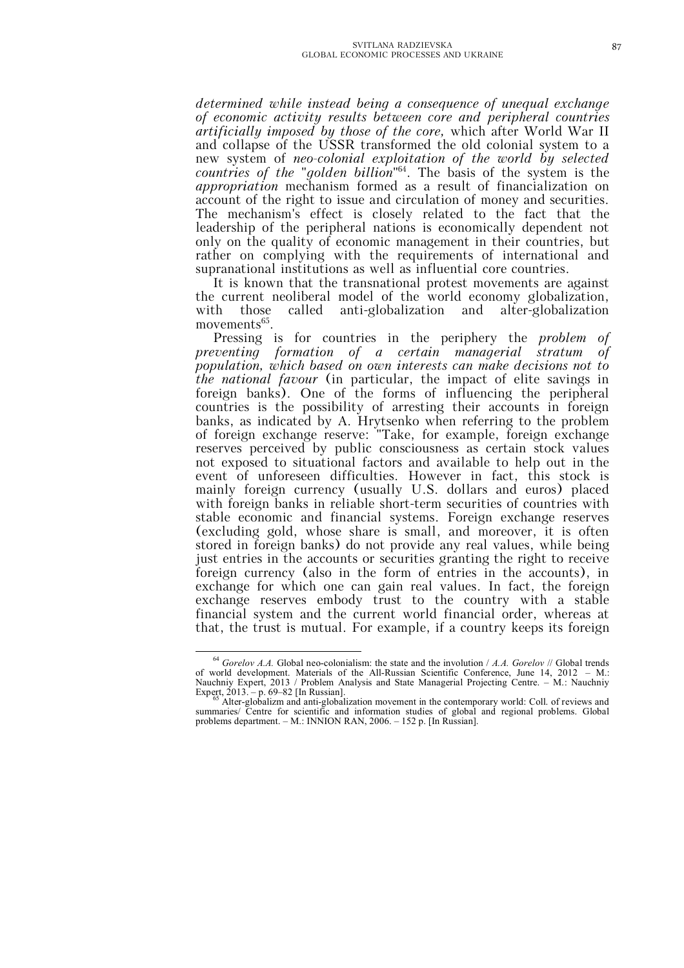*determined while instead being a consequence of unequal exchange of economic activity results between core and peripheral countries artificially imposed by those of the core,* which after World War II and collapse of the USSR transformed the old colonial system to a new system of *neo-colonial exploitation of the world by selected countries of the "golden billion"*<sup>64</sup> . The basis of the system is the *appropriation* mechanism formed as a result of financialization on account of the right to issue and circulation of money and securities. The mechanism's effect is closely related to the fact that the leadership of the peripheral nations is economically dependent not only on the quality of economic management in their countries, but rather on complying with the requirements of international and supranational institutions as well as influential core countries.

It is known that the transnational protest movements are against the current neoliberal model of the world economy globalization, with those called anti-globalization and alter-globalization movements<sup>65</sup>.

Pressing is for countries in the periphery the *problem of preventing formation of a certain managerial stratum of population, which based on own interests can make decisions not to the national favour* (in particular, the impact of elite savings in foreign banks). One of the forms of influencing the peripheral countries is the possibility of arresting their accounts in foreign banks, as indicated by A. Hrytsenko when referring to the problem of foreign exchange reserve: "Take, for example, foreign exchange reserves perceived by public consciousness as certain stock values not exposed to situational factors and available to help out in the event of unforeseen difficulties. However in fact, this stock is mainly foreign currency (usually U.S. dollars and euros) placed with foreign banks in reliable short-term securities of countries with stable economic and financial systems. Foreign exchange reserves (excluding gold, whose share is small, and moreover, it is often stored in foreign banks) do not provide any real values, while being just entries in the accounts or securities granting the right to receive foreign currency (also in the form of entries in the accounts), in exchange for which one can gain real values. In fact, the foreign exchange reserves embody trust to the country with a stable financial system and the current world financial order, whereas at that, the trust is mutual. For example, if a country keeps its foreign

<sup>64</sup> *Gorelov A.A.* Global neo-colonialism: the state and the involution / *A.A. Gorelov* // Global trends of world development. Materials of the All-Russian Scientific Conference, June 14, 2012 – М.: Nauchniy Expert, 2013 / Problem Analysis and State Managerial Projecting Centre. – М.: Nauchniy

Expert, 2013. – p. 69–82 [In Russian].<br><sup>65</sup> Alter-globalizm and anti-globalization movement in the contemporary world: Coll. of reviews and summaries/ Centre for scientific and information studies of global and regional problems. Global problems department. – М.: INNION RAN, 2006. – 152 p. [In Russian].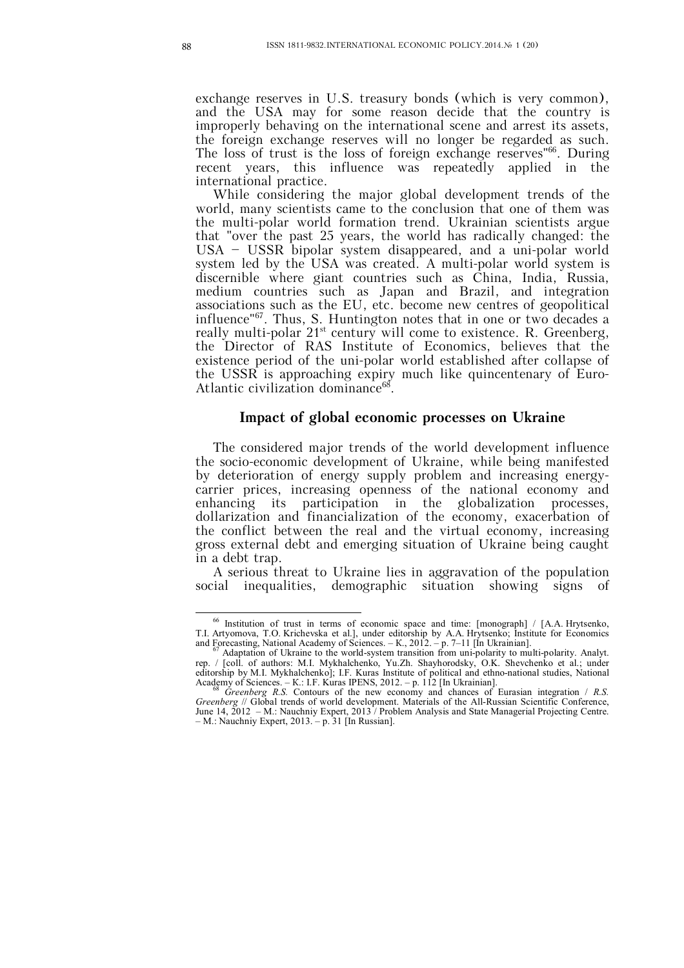exchange reserves in U.S. treasury bonds (which is very common), and the USA may for some reason decide that the country is improperly behaving on the international scene and arrest its assets, the foreign exchange reserves will no longer be regarded as such. The loss of trust is the loss of foreign exchange reserves" 66 . During recent years, this influence was repeatedly applied in the international practice.

While considering the major global development trends of the world, many scientists came to the conclusion that one of them was the multi-polar world formation trend. Ukrainian scientists argue that "over the past 25 years, the world has radically changed: the USA – USSR bipolar system disappeared, and a uni-polar world system led by the USA was created. A multi-polar world system is discernible where giant countries such as China, India, Russia, medium countries such as Japan and Brazil, and integration associations such as the EU, etc. become new centres of geopolitical influence"<sup>67</sup> . Thus, S. Huntington notes that in one or two decades a really multi-polar  $21^{st}$  century will come to existence. R. Greenberg, the Director of RAS Institute of Economics, believes that the existence period of the uni-polar world established after collapse of the USSR is approaching expiry much like quincentenary of Euro-Atlantic civilization dominance<sup>68</sup>.

#### **Impact of global economic processes on Ukraine**

The considered major trends of the world development influence the socio-economic development of Ukraine, while being manifested by deterioration of energy supply problem and increasing energycarrier prices, increasing openness of the national economy and enhancing its participation in the globalization processes, dollarization and financialization of the economy, exacerbation of the conflict between the real and the virtual economy, increasing gross external debt and emerging situation of Ukraine being caught in a debt trap.

A serious threat to Ukraine lies in aggravation of the population social inequalities, demographic situation showing signs of

 $\overline{a}$ <sup>66</sup> Institution of trust in terms of economic space and time: [monograph] / [А.А. Hrytsenko, Т.І. Artyomova, Т.О. Krichevska et al.], under editorship by А.А. Hrytsenko; Institute for Economics and Forecasting, National Academy of Sciences.  $-K$ , 2012.  $-p$ . 7–11 [In Ukrainian].<br><sup>67</sup> Adaptation of Ukraine to the world-system transition from uni-polarity to multi-polarity. Analyt.

rep. / [coll. of authors: M.I. Mykhalchenko, Yu.Zh. Shayhorodsky, O.K. Shevchenko et al.; under editorship by M.I. Mykhalchenko]; I.F. Kuras Institute of political and ethno-national studies, National Academy of Sciences. – К.: I.F. Kuras IPENS, 2012. – p. 112 [In Ukrainian].

<sup>68</sup> *Greenberg R.S.* Contours of the new economy and chances of Eurasian integration / *R.S. Greenberg* // Global trends of world development. Materials of the All-Russian Scientific Conference, June 14, 2012 – М.: Nauchniy Expert, 2013 / Problem Analysis and State Managerial Projecting Centre. – М.: Nauchniy Expert, 2013. – p. 31 [In Russian].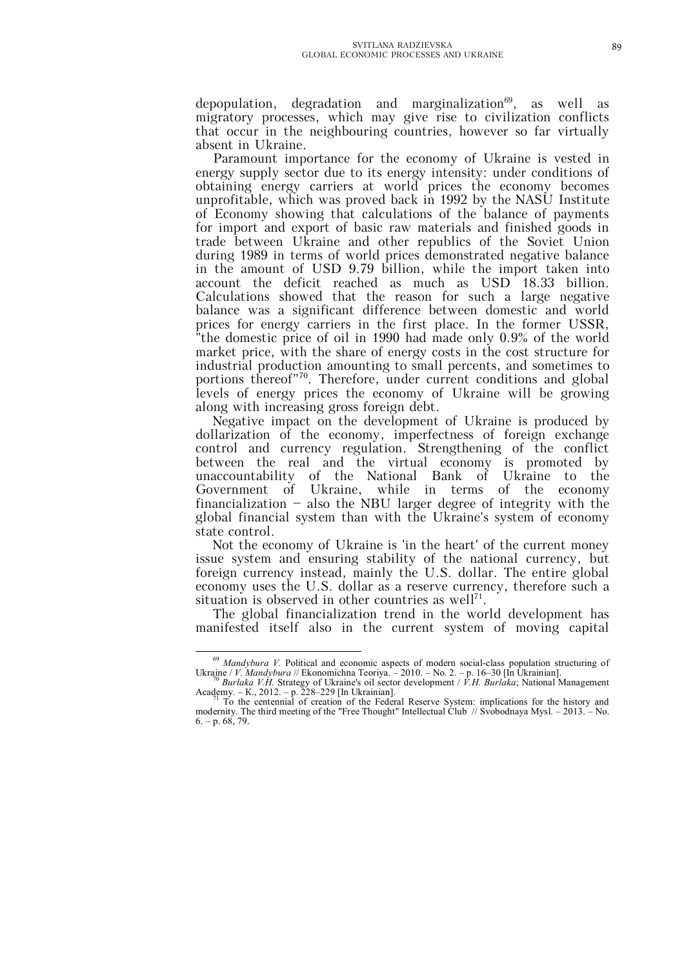depopulation, degradation and marginalization<sup>69</sup>, as well as migratory processes, which may give rise to civilization conflicts that occur in the neighbouring countries, however so far virtually absent in Ukraine.

Paramount importance for the economy of Ukraine is vested in energy supply sector due to its energy intensity: under conditions of obtaining energy carriers at world prices the economy becomes unprofitable, which was proved back in 1992 by the NASU Institute of Economy showing that calculations of the balance of payments for import and export of basic raw materials and finished goods in trade between Ukraine and other republics of the Soviet Union during 1989 in terms of world prices demonstrated negative balance in the amount of USD 9.79 billion, while the import taken into account the deficit reached as much as USD 18.33 billion. Calculations showed that the reason for such a large negative balance was a significant difference between domestic and world prices for energy carriers in the first place. In the former USSR, "the domestic price of oil in 1990 had made only 0.9% of the world market price, with the share of energy costs in the cost structure for industrial production amounting to small percents, and sometimes to portions thereof"<sup>70</sup>. Therefore, under current conditions and global levels of energy prices the economy of Ukraine will be growing along with increasing gross foreign debt.

Negative impact on the development of Ukraine is produced by dollarization of the economy, imperfectness of foreign exchange control and currency regulation. Strengthening of the conflict between the real and the virtual economy is promoted by unaccountability of the National Bank of Ukraine to the Government of Ukraine, while in terms of the economy financialization – also the NBU larger degree of integrity with the global financial system than with the Ukraine's system of economy state control.

Not the economy of Ukraine is 'in the heart' of the current money issue system and ensuring stability of the national currency, but foreign currency instead, mainly the U.S. dollar. The entire global economy uses the U.S. dollar as a reserve currency, therefore such a situation is observed in other countries as well<sup>71</sup>.

The global financialization trend in the world development has manifested itself also in the current system of moving capital

 $\overline{a}$ <sup>69</sup> *Mandybura V.* Political and economic aspects of modern social-class population structuring of Ukraine / *V. Mandybura* // Ekonomichna Teoriya. – 2010. – No. 2. – p. 16–30 [In Ukrainian].

<sup>70</sup> *Burlaka V.H.* Strategy of Ukraine's oil sector development / *V.H. Burlaka*; National Management Academy. – К., 2012. – p. 228–229 [In Ukrainian]. <sup>71</sup> To the centennial of creation of the Federal Reserve System: implications for the history and

modernity. The third meeting of the "Free Thought" Intellectual Club // Svobodnaya Mysl. – 2013. – No.  $6. - p. 68, 79.$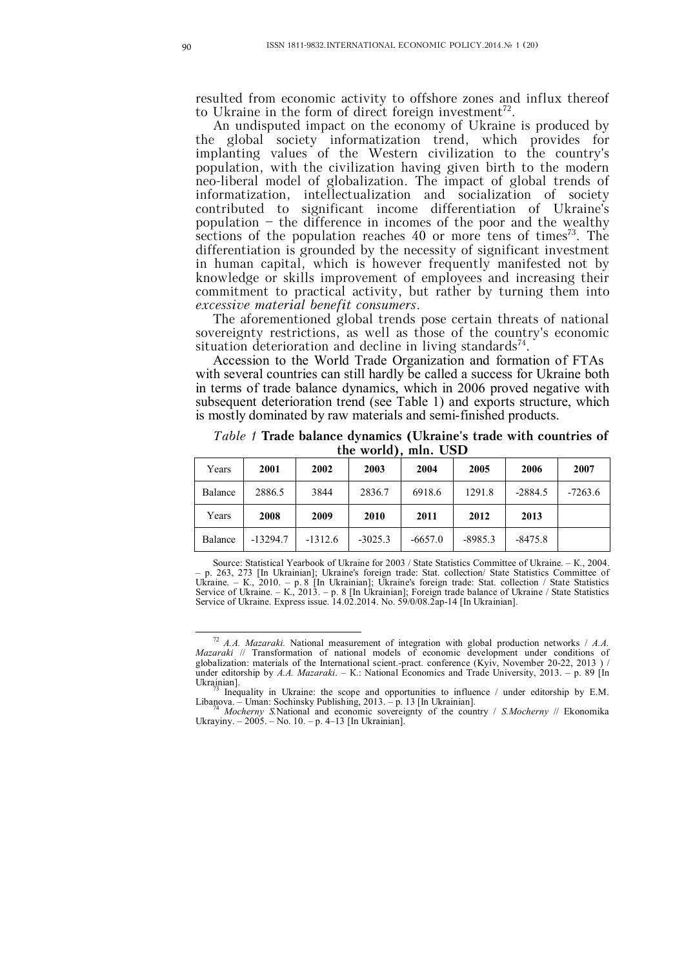resulted from economic activity to offshore zones and influx thereof to Ukraine in the form of direct foreign investment<sup>72</sup>.

An undisputed impact on the economy of Ukraine is produced by the global society informatization trend, which provides for implanting values of the Western civilization to the country's population, with the civilization having given birth to the modern neo-liberal model of globalization. The impact of global trends of informatization, intellectualization and socialization of society contributed to significant income differentiation of Ukraine's population – the difference in incomes of the poor and the wealthy sections of the population reaches  $40$  or more tens of times<sup>73</sup>. The differentiation is grounded by the necessity of significant investment in human capital, which is however frequently manifested not by knowledge or skills improvement of employees and increasing their commitment to practical activity, but rather by turning them into *excessive material benefit consumers*.

The aforementioned global trends pose certain threats of national sovereignty restrictions, as well as those of the country's economic situation deterioration and decline in living standards<sup>74</sup>.

Accession to the World Trade Organization and formation of FTAs with several countries can still hardly be called a success for Ukraine both in terms of trade balance dynamics, which in 2006 proved negative with subsequent deterioration trend (see Table 1) and exports structure, which is mostly dominated by raw materials and semi-finished products.

*Table 1* **Trade balance dynamics (Ukraine's trade with countries of the world), mln. USD**

| Years   | 2001       | 2002      | 2003      | 2004      | 2005      | 2006      | 2007      |
|---------|------------|-----------|-----------|-----------|-----------|-----------|-----------|
| Balance | 2886.5     | 3844      | 2836.7    | 6918.6    | 1291.8    | $-2884.5$ | $-7263.6$ |
| Years   | 2008       | 2009      | 2010      | 2011      | 2012      | 2013      |           |
| Balance | $-13294.7$ | $-1312.6$ | $-3025.3$ | $-6657.0$ | $-8985.3$ | $-8475.8$ |           |

Source: Statistical Yearbook of Ukraine for 2003 / State Statistics Committee of Ukraine. – К., 2004. – p. 263, 273 [In Ukrainian]; Ukraine's foreign trade: Stat. collection/ State Statistics Committee of Ukraine. – К., 2010. – p. 8 [In Ukrainian]; Ukraine's foreign trade: Stat. collection / State Statistics Service of Ukraine. – К., 2013. – p. 8 [In Ukrainian]; Foreign trade balance of Ukraine / State Statistics Service of Ukraine. Express issue. 14.02.2014. No. 59/0/08.2ap-14 [In Ukrainian].

<sup>72</sup> *A.A. Mazaraki.* National measurement of integration with global production networks / *A.A. Mazaraki* // Transformation of national models of economic development under conditions of globalization: materials of the International scient.-pract. conference (Kyiv, November 20-22, 2013) / under editorship by *A.A. Mazaraki*. – К.: National Economics and Trade University, 2013. – p. 89 [In Ukrainian].

Inequality in Ukraine: the scope and opportunities to influence / under editorship by E.M. Libanova. – Uman: Sochinsky Publishing, 2013. – p. 13 [In Ukrainian].

<sup>74</sup> *Mocherny S.*National and economic sovereignty of the country / *S.Mocherny* // Ekonomika Ukrayiny. – 2005. – No. 10. – p. 4–13 [In Ukrainian].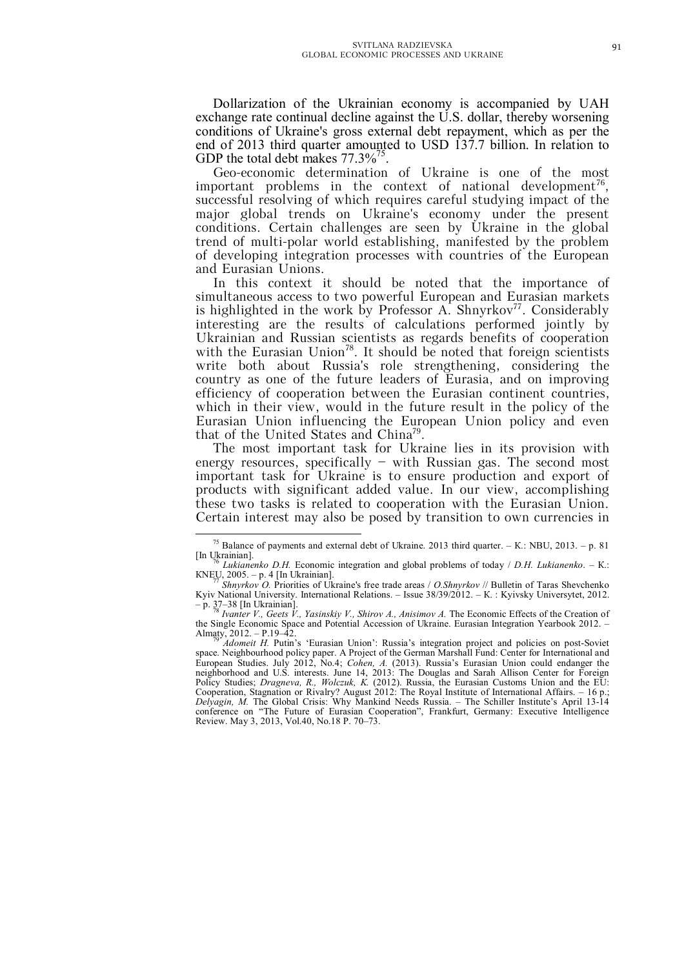Dollarization of the Ukrainian economy is accompanied by UAH exchange rate continual decline against the U.S. dollar, thereby worsening conditions of Ukraine's gross external debt repayment, which as per the end of 2013 third quarter amounted to USD 137.7 billion. In relation to GDP the total debt makes  $77.3\%^{75}$ .

Geo-economic determination of Ukraine is one of the most important problems in the context of national development<sup>76</sup>, successful resolving of which requires careful studying impact of the major global trends on Ukraine's economy under the present conditions. Certain challenges are seen by Ukraine in the global trend of multi-polar world establishing, manifested by the problem of developing integration processes with countries of the European and Eurasian Unions.

In this context it should be noted that the importance of simultaneous access to two powerful European and Eurasian markets is highlighted in the work by Professor A. Shnyrkov<sup>77</sup>. Considerably interesting are the results of calculations performed jointly by Ukrainian and Russian scientists as regards benefits of cooperation with the Eurasian Union<sup>78</sup>. It should be noted that foreign scientists write both about Russia's role strengthening, considering the country as one of the future leaders of Eurasia, and on improving efficiency of cooperation between the Eurasian continent countries, which in their view, would in the future result in the policy of the Eurasian Union influencing the European Union policy and even that of the United States and China<sup>79</sup>.

The most important task for Ukraine lies in its provision with energy resources, specifically – with Russian gas. The second most important task for Ukraine is to ensure production and export of products with significant added value. In our view, accomplishing these two tasks is related to cooperation with the Eurasian Union. Certain interest may also be posed by transition to own currencies in

<sup>75</sup> Balance of payments and external debt of Ukraine. 2013 third quarter. – К.: NBU, 2013. – p. 81 [In Ukrainian].

<sup>76</sup> *Lukianenko D.H.* Economic integration and global problems of today / *D.H. Lukianenko*. – К.: KNEU, 2005. – p. 4 [In Ukrainian].<br><sup>77</sup> *Shnyrkov O.* Priorities of Ukraine's free trade areas / *O.Shnyrkov* // Bulletin of Taras Shevchenko

Kyiv National University. International Relations. – Issue 38/39/2012. – К. : Kyivsky Universytet, 2012. – p. 37–38 [In Ukrainian]. <sup>78</sup> *Ivanter V., Geets V., Yasinskiy V., Shirov A., Anisimov A.* The Economic Effects of the Creation of

the Single Economic Space and Potential Accession of Ukraine. Eurasian Integration Yearbook 2012. – Almaty,  $2012 - P.19 - 42$ .

*Adomeit H.* Putin's 'Eurasian Union': Russia's integration project and policies on post-Soviet space. Neighbourhood policy paper. A Project of the German Marshall Fund: Center for International and European Studies. July 2012, No.4; *Cohen, A.* (2013). Russia's Eurasian Union сould еndanger the neighborhood and U.S. interests. June 14, 2013: The Douglas and Sarah Allison Center for Foreign Policy Studies; *Dragneva, R., Wolczuk, K.* (2012). Russia, the Eurasian Customs Union and the EU: Cooperation, Stagnation or Rivalry? August 2012: The Royal Institute of International Affairs. – 16 p.; *Delyagin, M.* The Global Crisis: Why Mankind Needs Russia. – The Schiller Institute's April 13-14 conference on "The Future of Eurasian Cooperation", Frankfurt, Germany: Executive Intelligence Review. May 3, 2013, Vol.40, No.18 P. 70–73.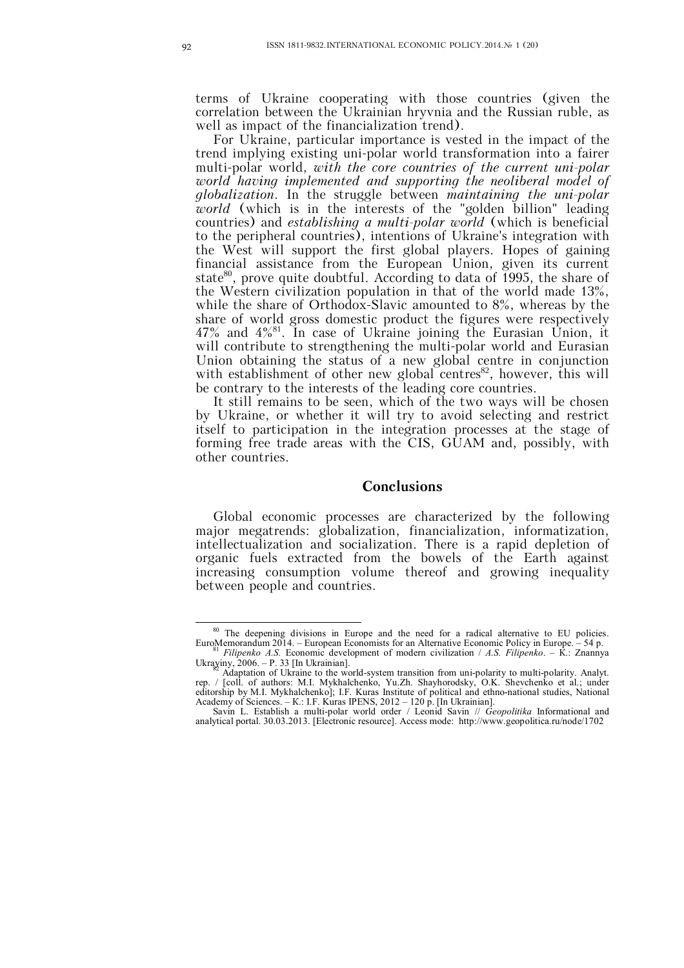terms of Ukraine cooperating with those countries (given the correlation between the Ukrainian hryvnia and the Russian ruble, as well as impact of the financialization trend).

For Ukraine, particular importance is vested in the impact of the trend implying existing uni-polar world transformation into a fairer multi-polar world, *with the core countries of the current uni-polar world having implemented and supporting the neoliberal model of globalization*. In the struggle between *maintaining the uni-polar world* (which is in the interests of the "golden billion" leading countries) and *establishing a multi-polar world* (which is beneficial to the peripheral countries), intentions of Ukraine's integration with the West will support the first global players. Hopes of gaining financial assistance from the European Union, given its current state<sup>80</sup>, prove quite doubtful. According to data of 1995, the share of the Western civilization population in that of the world made 13%, while the share of Orthodox-Slavic amounted to 8%, whereas by the share of world gross domestic product the figures were respectively 47% and 4%<sup>81</sup> . In case of Ukraine joining the Eurasian Union, it will contribute to strengthening the multi-polar world and Eurasian Union obtaining the status of a new global centre in conjunction with establishment of other new global centres<sup>82</sup>, however, this will be contrary to the interests of the leading core countries.

It still remains to be seen, which of the two ways will be chosen by Ukraine, or whether it will try to avoid selecting and restrict itself to participation in the integration processes at the stage of forming free trade areas with the CIS, GUAM and, possibly, with other countries.

#### **Conclusions**

Global economic processes are characterized by the following major megatrends: globalization, financialization, informatization, intellectualization and socialization. There is a rapid depletion of organic fuels extracted from the bowels of the Earth against increasing consumption volume thereof and growing inequality between people and countries.

<sup>&</sup>lt;sup>80</sup> The deepening divisions in Europe and the need for a radical alternative to EU policies. EuroMemorandum 2014. – European Economists for an Alternative Economic Policy in Europe. – 54 p. <sup>81</sup> *Filipenko A.S.* Economic development of modern civilization / *A.S. Filipenko*. – К.: Znannya

Ukrayiny, 2006. – P. 33 [In Ukrainian]. <sup>82</sup> Adaptation of Ukraine to the world-system transition from uni-polarity to multi-polarity. Analyt.

rep. / [coll. of authors: M.I. Mykhalchenko, Yu.Zh. Shayhorodsky, O.K. Shevchenko et al.; under editorship by M.I. Mykhalchenko]; I.F. Kuras Institute of political and ethno-national studies, National Academy of Sciences. – К.: I.F. Kuras IPENS, 2012 – 120 p. [In Ukrainian].

Savin L. Establish a multi-polar world order / Leonid Savin // *Geopolitika* Informational and analytical portal. 30.03.2013. [Electronic resource]. Access mode: http://www.geopolitica.ru/node/1702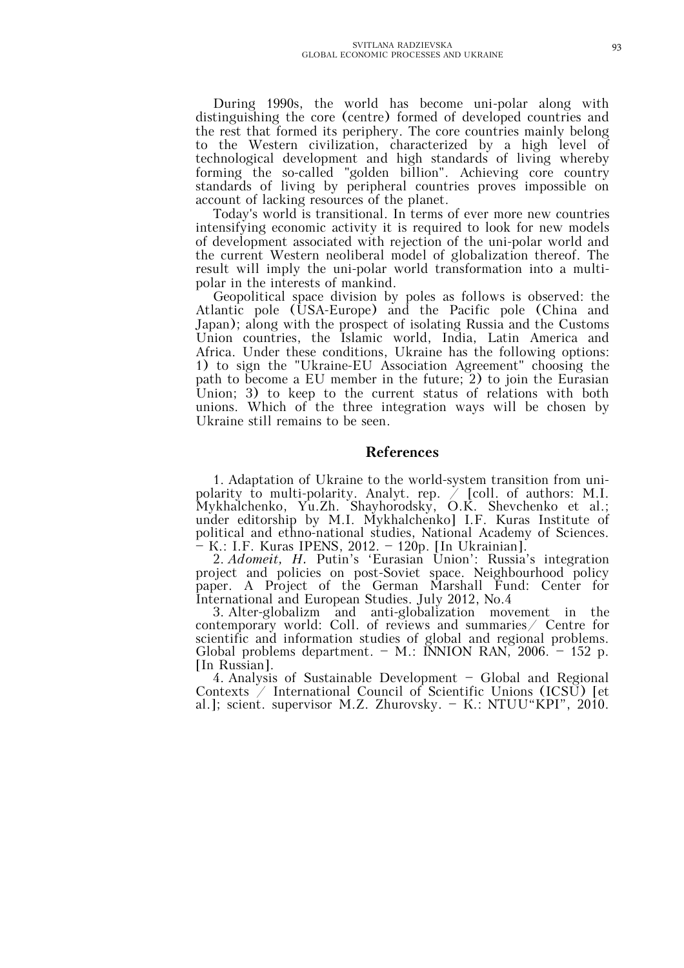During 1990s, the world has become uni-polar along with distinguishing the core (centre) formed of developed countries and the rest that formed its periphery. The core countries mainly belong to the Western civilization, characterized by a high level of technological development and high standards of living whereby forming the so-called "golden billion". Achieving core country standards of living by peripheral countries proves impossible on account of lacking resources of the planet.

Today's world is transitional. In terms of ever more new countries intensifying economic activity it is required to look for new models of development associated with rejection of the uni-polar world and the current Western neoliberal model of globalization thereof. The result will imply the uni-polar world transformation into a multipolar in the interests of mankind.

Geopolitical space division by poles as follows is observed: the Atlantic pole (USA-Europe) and the Pacific pole (China and Japan); along with the prospect of isolating Russia and the Customs Union countries, the Islamic world, India, Latin America and Africa. Under these conditions, Ukraine has the following options: 1) to sign the "Ukraine-EU Association Agreement" choosing the path to become a EU member in the future; 2) to join the Eurasian Union; 3) to keep to the current status of relations with both unions. Which of the three integration ways will be chosen by Ukraine still remains to be seen.

### **References**

1. Adaptation of Ukraine to the world-system transition from unipolarity to multi-polarity. Analyt. rep.  $\big/$  [coll. of authors: M.I. Mykhalchenko, Yu.Zh. Shayhorodsky, O.K. Shevchenko et al.; under editorship by M.I. Mykhalchenko] I.F. Kuras Institute of political and ethno-national studies, National Academy of Sciences. – К.: I.F. Kuras IPENS, 2012. – 120p. [In Ukrainian].

2. *Adomeit, H.* Putin's 'Eurasian Union': Russia's integration project and policies on post-Soviet space. Neighbourhood policy paper. A Project of the German Marshall Fund: Center for International and European Studies. July 2012, No.4

3. Alter-globalizm and anti-globalization movement in the contemporary world: Coll. of reviews and summaries  $\angle$  Centre for scientific and information studies of global and regional problems. Global problems department. – M.: INNION RAN, 2006. – 152 p. [In Russian].

4. Analysis of Sustainable Development – Global and Regional Contexts  $\overline{\phantom{a}}$  International Council of Scientific Unions (ICSU) [et al.]; scient. supervisor M.Z. Zhurovsky. – К.: NTUU"KPI", 2010.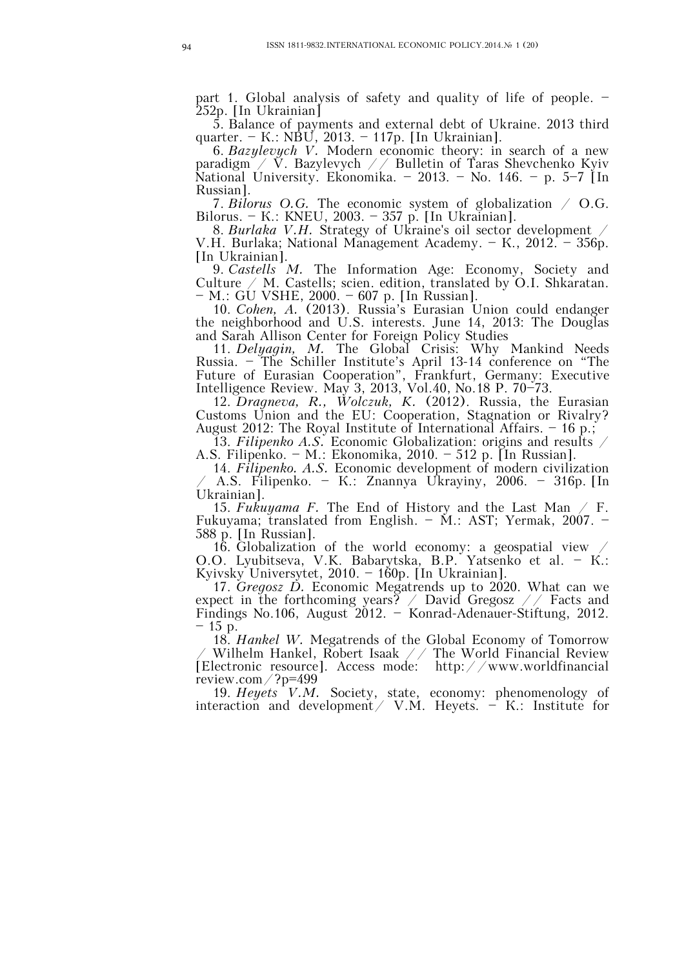part 1. Global analysis of safety and quality of life of people. – 252p. [In Ukrainian]

5. Balance of payments and external debt of Ukraine. 2013 third quarter. – К.: NBU, 2013. – 117p. [In Ukrainian].

6. *Bazylevych V.* Modern economic theory: in search of a new paradigm / V. Bazylevych // Bulletin of Taras Shevchenko Kyiv National University. Ekonomika. – 2013. – No. 146. – p. 5–7 [In Russian].

7. *Bilorus O.G.* The economic system of globalization / O.G. Bilorus. – К.: KNEU, 2003. – 357 p. [In Ukrainian].

8. *Burlaka V.H.* Strategy of Ukraine's oil sector development / V.H. Burlaka; National Management Academy. – К., 2012. – 356p. [In Ukrainian].

9. *Castells М.* The Information Age: Economy, Society and Culture  $\angle$  M. Castells; scien. edition, translated by O.I. Shkaratan. – М.: GU VSHE, 2000. – 607 p. [In Russian].

10. *Cohen, A.* (2013). Russia's Eurasian Union сould еndanger the neighborhood and U.S. interests. June 14, 2013: The Douglas and Sarah Allison Center for Foreign Policy Studies

11. *Delyagin, M.* The Global Crisis: Why Mankind Needs Russia. – The Schiller Institute's April 13-14 conference on "The Future of Eurasian Cooperation", Frankfurt, Germany: Executive Intelligence Review. May 3, 2013, Vol.40, No.18 P. 70–73.

12. *Dragneva, R., Wolczuk, K.* (2012). Russia, the Eurasian Customs Union and the EU: Cooperation, Stagnation or Rivalry? August 2012: The Royal Institute of International Affairs. – 16 p.;

13. *Filipenko A.S.* Economic Globalization: origins and results / A.S. Filipenko. – М.: Ekonomika, 2010. – 512 p. [In Russian].

14. *Filipenko. A.S.* Economic development of modern civilization / A.S. Filipenko. – К.: Znannya Ukrayiny, 2006. – 316p. [In Ukrainian].

15. *Fukuyama F.* The End of History and the Last Man / F. Fukuyama; translated from English. – М.: AST; Yermak, 2007. – 588 p. [In Russian].

16. Globalization of the world economy: a geospatial view  $\angle$ O.O. Lyubitseva, V.K. Babarytska, B.P. Yatsenko et al. – К.: Kyivsky Universytet, 2010. – 160p. [In Ukrainian].

17. *Gregosz D.* Economic Megatrends up to 2020. What can we expect in the forthcoming years? / David Gregosz // Facts and Findings No.106, August 2012. – Konrad-Adenauer-Stiftung, 2012.  $-15$  p.

18. *Hankel W.* Megatrends of the Global Economy of Tomorrow  $\angle$  Wilhelm Hankel, Robert Isaak  $\angle$  / The World Financial Review [Electronic resource]. Access mode: http://www.worldfinancial review.com/?p=499

19. *Heyets V.M.* Society, state, economy: phenomenology of interaction and development / V.M. Heyets.  $-$  K.: Institute for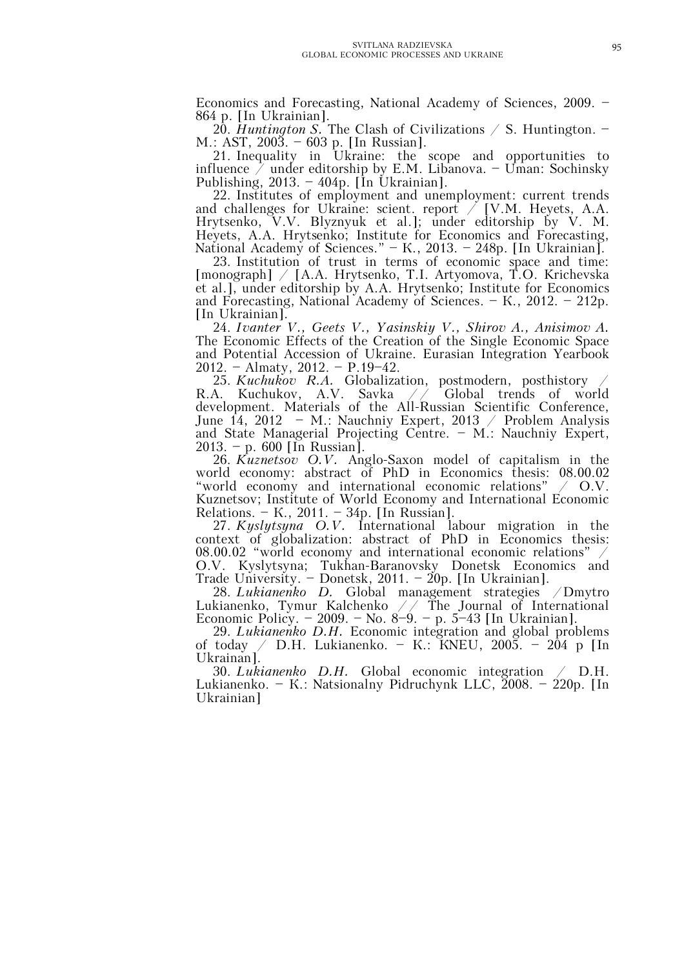Economics and Forecasting, National Academy of Sciences, 2009. – 864 p. [In Ukrainian].

20. *Huntington S.* The Clash of Civilizations / S. Huntington. – М.: AST, 2003. – 603 p. [In Russian].

21. Inequality in Ukraine: the scope and opportunities to influence  $\bar{\nearrow}$  under editorship by E.M. Libanova. – Uman: Sochinsky Publishing, 2013. – 404p. [In Ukrainian].

22. Institutes of employment and unemployment: current trends and challenges for Ukraine: scient. report  $\big/$  [V.M. Heyets, A.A. Hrytsenko, V.V. Blyznyuk et al.]; under editorship by V. M. Heyets, A.A. Hrytsenko; Institute for Economics and Forecasting, National Academy of Sciences." – К., 2013. – 248p. [In Ukrainian].

23. Institution of trust in terms of economic space and time: [monograph] / [А.А. Hrytsenko, Т.І. Artyomova, Т.О. Krichevska et al.], under editorship by А.А. Hrytsenko; Institute for Economics and Forecasting, National Academy of Sciences. – К., 2012. – 212p. [In Ukrainian].

24. *Ivanter V., Geets V., Yasinskiy V., Shirov A., Anisimov A.* The Economic Effects of the Creation of the Single Economic Space and Potential Accession of Ukraine. Eurasian Integration Yearbook 2012. – Almaty, 2012. – P.19–42.

25. *Kuchukov R.A.* Globalization, postmodern, posthistory / R.A. Kuchukov, A.V. Savka // Global trends of world development. Materials of the All-Russian Scientific Conference, June 14, 2012 – М.: Nauchniy Expert, 2013 / Problem Analysis and State Managerial Projecting Centre. – М.: Nauchniy Expert, 2013. – p. 600 [In Russian].

26. *Kuznetsov O.V.* Anglo-Saxon model of capitalism in the world economy: abstract of PhD in Economics thesis: 08.00.02 "world economy and international economic relations" / O.V. Kuznetsov; Institute of World Economy and International Economic Relations. – К., 2011. – 34p. [In Russian].

27. *Kyslytsyna O.V.* International labour migration in the context of globalization: abstract of PhD in Economics thesis: 08.00.02 "world economy and international economic relations" O.V. Kyslytsyna; Tukhan-Baranovsky Donetsk Economics and

Trade University. – Donetsk, 2011. – 20p. [In Ukrainian]. 28. *Lukianenko D.* Global management strategies /Dmytro Lukianenko, Tymur Kalchenko // The Journal of International Economic Policy. – 2009. – No. 8–9. – p. 5–43 [In Ukrainian].

29. *Lukianenko D.H.* Economic integration and global problems of today / D.H. Lukianenko. – К.: КNEU, 2005. – 204 p [In Ukrainan].

30. *Lukianenko D.H.* Global economic integration / D.H. Lukianenko. – K.: Natsionalny Pidruchynk LLC, 2008. – 220p. [In Ukrainian]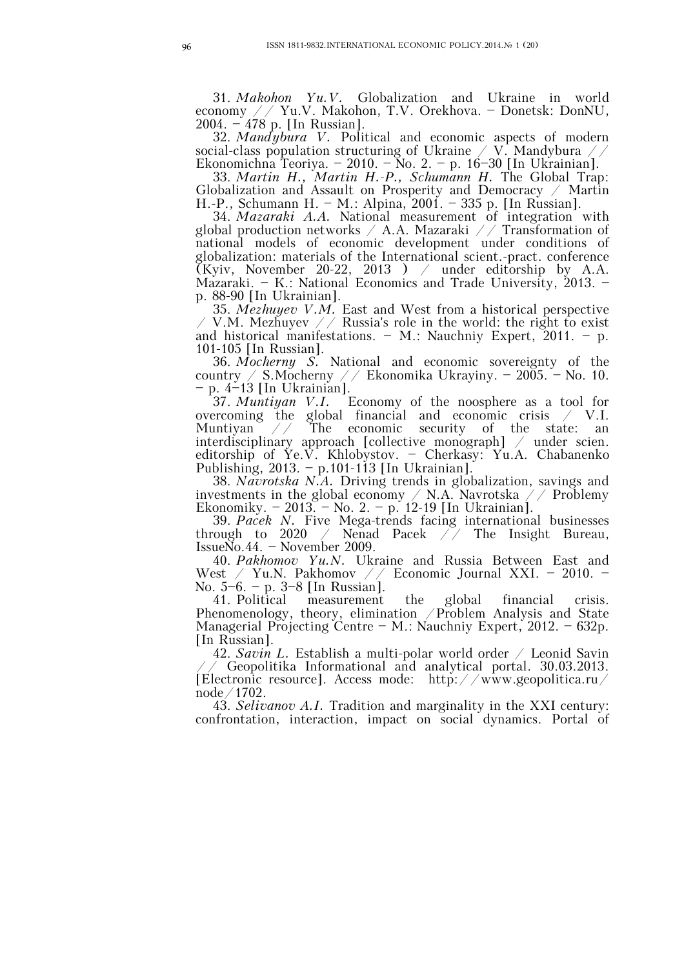31. *Makohon Yu.V.* Globalization and Ukraine in world economy // Yu.V. Makohon, T.V. Orekhova. – Donetsk: DonNU, 2004. – 478 p. [In Russian].

32. *Mandybura V.* Political and economic aspects of modern social-class population structuring of Ukraine / V. Mandybura // Ekonomichna Teoriya. – 2010. – No. 2. – p. 16–30 [In Ukrainian].

33. *Martin H., Martin H.-P., Schumann H.* The Global Trap: Globalization and Assault on Prosperity and Democracy  $\angle$  Martin H.-P., Schumann H. – М.: Alpina, 2001. – 335 p. [In Russian].

34. *Mazaraki A.A.* National measurement of integration with global production networks / A.A. Mazaraki // Transformation of national models of economic development under conditions of globalization: materials of the International scient.-pract. conference (Kyiv, November 20-22, 2013 ) / under editorship by A.A. Mazaraki. – К.: National Economics and Trade University, 2013. – p. 88-90 [In Ukrainian].

35. *Mezhuyev V.M.* East and West from a historical perspective / V.M. Mezhuyev // Russia's role in the world: the right to exist and historical manifestations. – M.: Nauchniy Expert,  $2011. - p$ . 101-105 [In Russian].

36. *Mocherny S.* National and economic sovereignty of the country / S. Mocherny // Ekonomika Ukrayiny. – 2005. – No. 10. – p. 4–13 [In Ukrainian].

37. *Muntiyan V.I.* Economy of the noosphere as a tool for overcoming the global financial and economic crisis / V.I. Muntiyan // The economic security of the state: an interdisciplinary approach [collective monograph] / under scien. editorship of Ye.V. Khlobystov. – Cherkasy: Yu.A. Chabanenko Publishing, 2013. – p.101-113 [In Ukrainian].

38. *Navrotska N.A.* Driving trends in globalization, savings and investments in the global economy  $\angle$  N.A. Navrotska  $\angle\angle$  Problemy Ekonomiky. – 2013. – No. 2. – p. 12-19 [In Ukrainian].

39. *Pacek N.* Five Mega-trends facing international businesses Nenad Pacek  $//$  The Insight Bureau, through to 2020 / Nenad IssueNo.44. – November 2009.

40. *Pakhomov Yu.N.* Ukraine and Russia Between East and West / Yu.N. Pakhomov // Economic Journal XXI. – 2010. – No. 5–6. – p. 3–8 [In Russian].

41. Political measurement the global financial crisis. Phenomenology, theory, elimination /Problem Analysis and State Managerial Projecting Centre – М.: Nauchniy Expert, 2012. – 632p. [In Russian].

42. *Savin L.* Establish a multi-polar world order / Leonid Savin // Geopolitika Informational and analytical portal. 30.03.2013. [Electronic resource]. Access mode: http://www.geopolitica.ru/ node/1702.

43. *Selivanov A.I.* Tradition and marginality in the XXI century: confrontation, interaction, impact on social dynamics. Portal of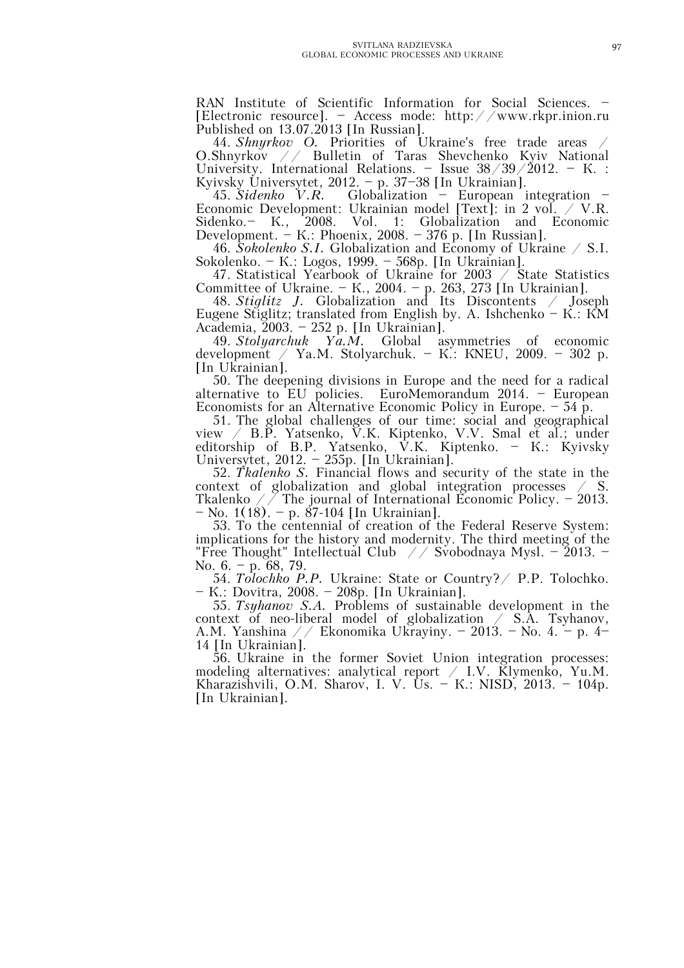RAN Institute of Scientific Information for Social Sciences. – [Electronic resource]. – Access mode: http://www.rkpr.inion.ru Published on 13.07.2013 [In Russian].

44. *Shnyrkov O.* Priorities of Ukraine's free trade areas / O.Shnyrkov // Bulletin of Taras Shevchenko Kyiv National University. International Relations. – Issue  $38/39/2012$ . – K. : Kyivsky Universytet,  $2012. - p. 37-38$  [In Ukrainian].

45. *Sidenko V.R.* Globalization – European integration – Economic Development: Ukrainian model [Text]: in 2 vol.  $\angle$  V.R. Sidenko.– К., 2008. Vol. 1: Globalization and Economic Development. – K.: Phoenix, 2008. – 376 p. [In Russian].

46. *Sokolenko S.I.* Globalization and Economy of Ukraine / S.I. Sokolenko. – К.: Logos, 1999. – 568p. [In Ukrainian].

47. Statistical Yearbook of Ukraine for 2003 / State Statistics Committee of Ukraine. – К., 2004. – p. 263, 273 [In Ukrainian].

48. *Stiglitz J.* Globalization and Its Discontents / Joseph Eugene Stiglitz; translated from English by. А. Ishchenko – К.: КМ Academia, 2003. – 252 p. [In Ukrainian].

49. *Stolyarchuk Ya.M.* Global asymmetries of economic development / Ya.M. Stolyarchuk. – К.: КNEU, 2009. – 302 p. [In Ukrainian].

50. The deepening divisions in Europe and the need for a radical alternative to EU policies. EuroMemorandum 2014. – European Economists for an Alternative Economic Policy in Europe. – 54 p.

51. The global challenges of our time: social and geographical view / B.P. Yatsenko, V.K. Kiptenko, V.V. Smal et al.; under editorship of B.P. Yatsenko, V.K. Kiptenko. – К.: Kyivsky Universytet, 2012. – 255p. [In Ukrainian].

52. *Tkalenko S.* Financial flows and security of the state in the context of globalization and global integration processes / S. Tkalenko  $\angle$  / The journal of International Economic Policy. – 2013. – No. 1(18). – p. 87-104 [In Ukrainian].

53. To the centennial of creation of the Federal Reserve System: implications for the history and modernity. The third meeting of the "Free Thought" Intellectual Club  $\angle$  / Svobodnaya Mysl. – 2013. – No. 6. – p. 68, 79.

54. *Tolochko P.P.* Ukraine: State or Country?/ P.P. Tolochko. – К.: Dovitra, 2008. – 208p. [In Ukrainian].

55. *Tsyhanov S.A.* Problems of sustainable development in the context of neo-liberal model of globalization / S.A. Tsyhanov, A.M. Yanshina // Ekonomika Ukrayiny. – 2013. – No. 4. – p. 4– 14 [In Ukrainian].

56. Ukraine in the former Soviet Union integration processes: modeling alternatives: analytical report  $/$  I.V. Klymenko, Yu.M. Kharazishvili, O.M. Sharov, I.V. Us. – K.: NISD, 2013. – 104p. [In Ukrainian].